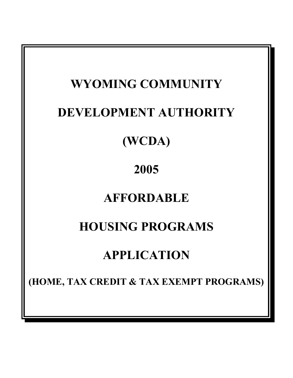# **WYOMING COMMUNITY DEVELOPMENT AUTHORITY (WCDA)**

# **2005**

# **AFFORDABLE**

# **HOUSING PROGRAMS**

# **APPLICATION**

**(HOME, TAX CREDIT & TAX EXEMPT PROGRAMS)**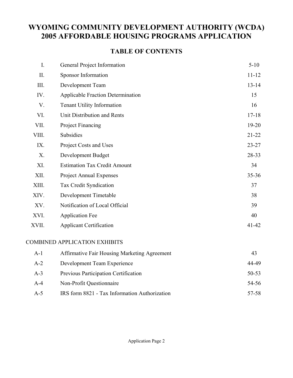# **WYOMING COMMUNITY DEVELOPMENT AUTHORITY (WCDA) 2005 AFFORDABLE HOUSING PROGRAMS APPLICATION**

# **TABLE OF CONTENTS**

| I.    | General Project Information                   | $5 - 10$  |
|-------|-----------------------------------------------|-----------|
| II.   | Sponsor Information                           | $11 - 12$ |
| III.  | Development Team                              | $13 - 14$ |
| IV.   | <b>Applicable Fraction Determination</b>      | 15        |
| V.    | <b>Tenant Utility Information</b>             | 16        |
| VI.   | Unit Distribution and Rents                   | $17 - 18$ |
| VII.  | Project Financing                             | $19-20$   |
| VIII. | Subsidies                                     | $21 - 22$ |
| IX.   | Project Costs and Uses                        | $23 - 27$ |
| X.    | Development Budget                            | 28-33     |
| XI.   | <b>Estimation Tax Credit Amount</b>           | 34        |
| XII.  | <b>Project Annual Expenses</b>                | $35 - 36$ |
| XIII. | Tax Credit Syndication                        | 37        |
| XIV.  | Development Timetable                         | 38        |
| XV.   | Notification of Local Official                | 39        |
| XVI.  | <b>Application Fee</b>                        | 40        |
| XVII. | <b>Applicant Certification</b>                | $41 - 42$ |
|       | <b>COMBINED APPLICATION EXHIBITS</b>          |           |
| $A-1$ | Affirmative Fair Housing Marketing Agreement  | 43        |
| $A-2$ | Development Team Experience                   | 44-49     |
| $A-3$ | Previous Participation Certification          | $50 - 53$ |
| $A-4$ | Non-Profit Questionnaire                      | 54-56     |
| $A-5$ | IRS form 8821 - Tax Information Authorization | 57-58     |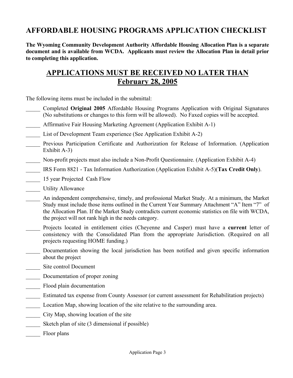# **AFFORDABLE HOUSING PROGRAMS APPLICATION CHECKLIST**

**The Wyoming Community Development Authority Affordable Housing Allocation Plan is a separate document and is available from WCDA. Applicants must review the Allocation Plan in detail prior to completing this application.** 

# **APPLICATIONS MUST BE RECEIVED NO LATER THAN February 28, 2005**

The following items must be included in the submittal:

- \_\_\_\_\_ Completed **Original 2005** Affordable Housing Programs Application with Original Signatures (No substitutions or changes to this form will be allowed). No Faxed copies will be accepted.
- \_\_\_\_\_ Affirmative Fair Housing Marketing Agreement (Application Exhibit A-1)
- List of Development Team experience (See Application Exhibit A-2)
- Previous Participation Certificate and Authorization for Release of Information. (Application Exhibit A-3)
- Non-profit projects must also include a Non-Profit Questionnaire. (Application Exhibit A-4)
- \_\_\_\_\_ IRS Form 8821 Tax Information Authorization (Application Exhibit A-5)(**Tax Credit Only**).
- 15 year Projected Cash Flow
- \_\_\_\_\_ Utility Allowance
- An independent comprehensive, timely, and professional Market Study. At a minimum, the Market Study must include those items outlined in the Current Year Summary Attachment "A" Item "7" of the Allocation Plan. If the Market Study contradicts current economic statistics on file with WCDA, the project will not rank high in the needs category.
- \_\_\_\_\_ Projects located in entitlement cities (Cheyenne and Casper) must have a **current** letter of consistency with the Consolidated Plan from the appropriate Jurisdiction. (Required on all projects requesting HOME funding.)
- Documentation showing the local jurisdiction has been notified and given specific information about the project
- \_\_\_\_\_ Site control Document
- Documentation of proper zoning
- Flood plain documentation
- Estimated tax expense from County Assessor (or current assessment for Rehabilitation projects)
- Location Map, showing location of the site relative to the surrounding area.
- \_\_\_\_\_ City Map, showing location of the site
- Sketch plan of site (3 dimensional if possible)
- Floor plans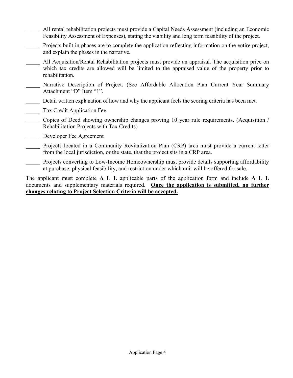- \_\_\_\_\_ All rental rehabilitation projects must provide a Capital Needs Assessment (including an Economic Feasibility Assessment of Expenses), stating the viability and long term feasibility of the project.
- \_\_\_\_\_ Projects built in phases are to complete the application reflecting information on the entire project, and explain the phases in the narrative.
- All Acquisition/Rental Rehabilitation projects must provide an appraisal. The acquisition price on which tax credits are allowed will be limited to the appraised value of the property prior to rehabilitation.
- Narrative Description of Project. (See Affordable Allocation Plan Current Year Summary Attachment "D" Item "1".
- Detail written explanation of how and why the applicant feels the scoring criteria has been met.
- \_\_\_\_\_ Tax Credit Application Fee
- \_\_\_\_\_ Copies of Deed showing ownership changes proving 10 year rule requirements. (Acquisition / Rehabilitation Projects with Tax Credits)
- Developer Fee Agreement
- Projects located in a Community Revitalization Plan (CRP) area must provide a current letter from the local jurisdiction, or the state, that the project sits in a CRP area.
- Projects converting to Low-Income Homeownership must provide details supporting affordability at purchase, physical feasibility, and restriction under which unit will be offered for sale.

The applicant must complete **A L L** applicable parts of the application form and include **A L L** documents and supplementary materials required. **Once the application is submitted, no further changes relating to Project Selection Criteria will be accepted.**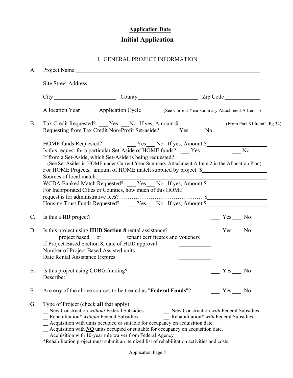# **Application Date** \_\_\_\_\_\_\_\_\_\_\_\_\_\_\_\_\_\_\_\_\_\_\_\_

# **Initial Application**

# I. GENERAL PROJECT INFORMATION

| A.        |                                                                                            | Project Name                                                                                                                                                                                                                                                                                                                                                                         |                                                                                   |                                    |        |
|-----------|--------------------------------------------------------------------------------------------|--------------------------------------------------------------------------------------------------------------------------------------------------------------------------------------------------------------------------------------------------------------------------------------------------------------------------------------------------------------------------------------|-----------------------------------------------------------------------------------|------------------------------------|--------|
|           |                                                                                            |                                                                                                                                                                                                                                                                                                                                                                                      |                                                                                   |                                    |        |
|           |                                                                                            | City County County Zip Code                                                                                                                                                                                                                                                                                                                                                          |                                                                                   |                                    |        |
|           |                                                                                            | Allocation Year _______ Application Cycle _______ (See Current Year summary Attachment A Item 1)                                                                                                                                                                                                                                                                                     |                                                                                   |                                    |        |
| <b>B.</b> |                                                                                            | Tax Credit Requested? __ Yes __No If yes, Amount \$______________(From Part XI ItemC, Pg 34)<br>Requesting from Tax Credit Non-Profit Set-aside? _____ Yes _____ No                                                                                                                                                                                                                  |                                                                                   |                                    |        |
|           |                                                                                            | Is this request for a particular Set-Aside of HOME funds? _____ Yes _______ No<br>If from a Set-Aside, which Set-Aside is being requested?<br>(See Set Asides in HOME under Current Year Summary Attachment A Item 2 in the Allocation Plan)<br>For HOME Projects, amount of HOME match supplied by project: \$                                                                      |                                                                                   |                                    |        |
|           | Sources of local match:                                                                    | WCDA Banked Match Requested? ___ Yes___ No If yes, Amount \$_____________________<br>For Incorporated Cities or Counties, how much of this HOME<br>Housing Trust Funds Requested? _____ Yes____ No If yes, Amount \$_________________                                                                                                                                                |                                                                                   |                                    |        |
| C.        | Is this a RD project?                                                                      |                                                                                                                                                                                                                                                                                                                                                                                      |                                                                                   | $Yes$ No                           |        |
| D.        | Number of Project Based Assisted units<br>Date Rental Assistance Expires                   | Is this project using HUD Section 8 rental assistance?<br>project based or _______ tenant certificates and vouchers<br>If Project Based Section 8, date of HUD approval                                                                                                                                                                                                              |                                                                                   | $\frac{\ }{}$ Yes $\frac{\ }{}$ No |        |
| Ε.        | Is this project using CDBG funding?                                                        | Describe:                                                                                                                                                                                                                                                                                                                                                                            |                                                                                   | $Yes$ No                           |        |
| F.        |                                                                                            | Are any of the above sources to be treated as " <b>Federal Funds</b> "?                                                                                                                                                                                                                                                                                                              |                                                                                   |                                    | Yes No |
| G.        | Type of Project (check <b>all</b> that apply)<br>Rehabilitation* without Federal Subsidies | New Construction without Federal Subsidies<br>Acquisition with units occupied or suitable for occupancy on acquisition date.<br>Acquisition with <b>NO</b> units occupied or suitable for occupancy on acquisition date.<br>Acquisition with 10-year rule waiver from Federal Agency<br>*Rehabilitation project must submit an itemized list of rehabilitation activities and costs. | New Construction with Federal Subsidies<br>Rehabilitation* with Federal Subsidies |                                    |        |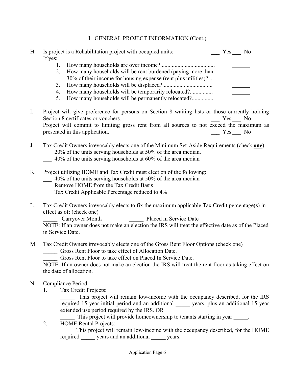| H. |         | Is project is a Rehabilitation project with occupied units:                                    | Yes                | N <sub>0</sub> |
|----|---------|------------------------------------------------------------------------------------------------|--------------------|----------------|
|    | If yes: |                                                                                                |                    |                |
|    |         |                                                                                                |                    |                |
|    | 2.      | How many households will be rent burdened (paying more than                                    |                    |                |
|    |         | 30% of their income for housing expense (rent plus utilities)?                                 |                    |                |
|    |         |                                                                                                |                    |                |
|    |         |                                                                                                |                    |                |
|    |         |                                                                                                |                    |                |
|    |         |                                                                                                |                    |                |
|    |         | Project will give preference for persons on Section 8 waiting lists or those currently holding |                    |                |
|    |         | Costian & cortificator or vaughers                                                             | $V_{\alpha\alpha}$ | $N_{\alpha}$   |

Section 8 certificates or vouchers. **The Section 8 certificates or vouchers. No**  Project will commit to limiting gross rent from all sources to not exceed the maximum as presented in this application. **\_\_\_** Yes **\_\_\_** No

- J. Tax Credit Owners irrevocably elects one of the Minimum Set-Aside Requirements (check **one**) \_\_\_ 20% of the units serving households at 50% of the area median.
	- \_\_\_ 40% of the units serving households at 60% of the area median
- K. Project utilizing HOME and Tax Credit must elect on of the following:
	- \_\_\_ 40% of the units serving households at 50% of the area median
	- \_\_\_ Remove HOME from the Tax Credit Basis
	- \_\_\_ Tax Credit Applicable Percentage reduced to 4%
- L. Tax Credit Owners irrevocably elects to fix the maximum applicable Tax Credit percentage(s) in effect as of: (check one)

\_\_\_\_\_ Carryover Month \_\_\_\_\_ Placed in Service Date

NOTE: If an owner does not make an election the IRS will treat the effective date as of the Placed in Service Date.

- M. Tax Credit Owners irrevocably elects one of the Gross Rent Floor Options (check one)
	- **\_\_\_\_\_** Gross Rent Floor to take effect of Allocation Date.
		- **\_\_\_\_\_** Gross Rent Floor to take effect on Placed In Service Date.

 NOTE: If an owner does not make an election the IRS will treat the rent floor as taking effect on the date of allocation.

- N. Compliance Period
	- 1. Tax Credit Projects:

This project will remain low-income with the occupancy described, for the IRS required 15 year initial period and an additional \_\_\_\_\_ years, plus an additional 15 year extended use period required by the IRS. OR

This project will provide homeownership to tenants starting in year  $\qquad \qquad$ .

2. HOME Rental Projects:

This project will remain low-income with the occupancy described, for the HOME required vears and an additional vears.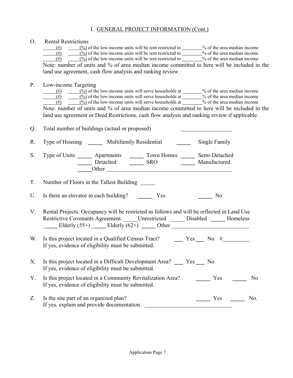| Ο. | <b>Rental Restrictions</b> |
|----|----------------------------|
|    |                            |

| U. | Rental Restrictions                                                                                                                                                                                                                                                                                                                                                                                                                              |
|----|--------------------------------------------------------------------------------------------------------------------------------------------------------------------------------------------------------------------------------------------------------------------------------------------------------------------------------------------------------------------------------------------------------------------------------------------------|
|    | $\frac{(\%)}{(\%)}$ of the low-income units will be rent restricted to _______% of the area median income<br>(#)                                                                                                                                                                                                                                                                                                                                 |
|    |                                                                                                                                                                                                                                                                                                                                                                                                                                                  |
|    | $\frac{(\#)}{(\#)}$ (%) of the low-income units will be rent restricted to _______% of the area median income                                                                                                                                                                                                                                                                                                                                    |
|    | Note: number of units and % of area median income committed to here will be included in the                                                                                                                                                                                                                                                                                                                                                      |
|    | land use agreement, cash flow analysis and ranking review.                                                                                                                                                                                                                                                                                                                                                                                       |
| Р. | Low-income Targeting<br>$\frac{(\#)}{(\#)}$ (%) of the low-income units will serve households at ______% of the area median income<br>$\frac{(\#)}{(\#)}$ (%) of the low-income units will serve households at ______% of the area median income<br>Note: number of units and % of area median income committed to here will be included in the<br>land use agreement or Deed Restrictions, cash flow analysis and ranking review if applicable. |
| Q. | Total number of buildings (actual or proposed)                                                                                                                                                                                                                                                                                                                                                                                                   |
| R. | Type of Housing _______ Multifamily Residential<br>Single Family                                                                                                                                                                                                                                                                                                                                                                                 |
| S. | Type of Units ________ Apartments _______ Town Homes _______ Semi-Detached Detached _______ SRO ________ Manufactured<br>Other                                                                                                                                                                                                                                                                                                                   |
| Τ. | Number of Floors in the Tallest Building ______                                                                                                                                                                                                                                                                                                                                                                                                  |
| U. | Is there an elevator in each building?<br>N <sub>0</sub><br>Yes                                                                                                                                                                                                                                                                                                                                                                                  |
| V. | Rental Projects: Occupancy will be restricted as follows and will be reflected in Land Use<br>Restrictive Covenants Agreement. _____Unrestricted ______ Disabled ______ Homeless<br>Elderly $(55+)$ Elderly $(62+)$ Other Channel Blue Channel Blue Channel Blue Channel Blue Channel Blue Channel Blue Channel Blue Channel Blue Channel Blue Channel Blue Channel Blue Channel Blue Channel Blue Channel Blue Cha                              |
| W. | Is this project located in a Qualified Census Tract? $\qquad \qquad \text{Yes} \qquad \text{No} \quad # \qquad \qquad$<br>If yes, evidence of eligibility must be submitted.                                                                                                                                                                                                                                                                     |
| Х. | Is this project located in a Difficult Development Area? _____ Yes _____ No<br>If yes, evidence of eligibility must be submitted.                                                                                                                                                                                                                                                                                                                |
| Y. | Is this project located in a Community Revitalization Area?<br>Yes<br>N <sub>0</sub><br>If yes, evidence of eligibility must be submitted.                                                                                                                                                                                                                                                                                                       |
| Z. | Is the site part of an organized plan?<br>No.<br>If yes, explain and provide documentation.                                                                                                                                                                                                                                                                                                                                                      |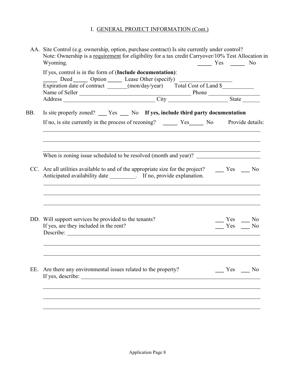|     | AA. Site Control (e.g. ownership, option, purchase contract) Is site currently under control?<br>Note: Ownership is a requirement for eligibility for a tax credit Carryover/10% Test Allocation in<br>Wyoming.<br>Yes No |
|-----|---------------------------------------------------------------------------------------------------------------------------------------------------------------------------------------------------------------------------|
|     | If yes, control is in the form of (Include documentation):<br>Deed _______ Option _________ Lease Other (specify) ___________                                                                                             |
|     | Expiration date of contract _____(mon/day/year) Total Cost of Land \$____________                                                                                                                                         |
|     | Name of Seller<br>Address<br><u>City</u><br>City<br>City<br>City<br>State                                                                                                                                                 |
| BB. | Is site properly zoned? ___ Yes ___ No If yes, include third party documentation                                                                                                                                          |
|     |                                                                                                                                                                                                                           |
|     |                                                                                                                                                                                                                           |
|     | When is zoning issue scheduled to be resolved (month and year)? _________________                                                                                                                                         |
|     | CC. Are all utilities available to and of the appropriate size for the project? ______ Yes _____ No<br>Anticipated availability date _________. If no, provide explanation.                                               |
|     |                                                                                                                                                                                                                           |
|     |                                                                                                                                                                                                                           |
|     | DD. Will support services be provided to the tenants?<br>$\frac{Yes}{Yes}$ $\frac{No}{No}$<br>If yes, are they included in the rent?                                                                                      |
|     |                                                                                                                                                                                                                           |
|     |                                                                                                                                                                                                                           |
| EE. | Are there any environmental issues related to the property?<br>$\frac{\ }{}$ Yes $\frac{\ }{}$ No                                                                                                                         |
|     | If yes, describe:                                                                                                                                                                                                         |
|     |                                                                                                                                                                                                                           |
|     |                                                                                                                                                                                                                           |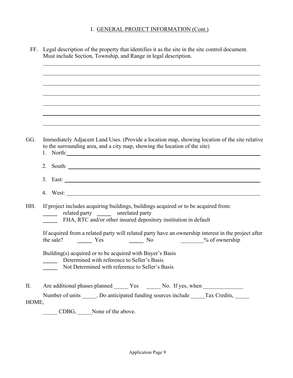|       | Must include Section, Township, and Range in legal description.                                                                                                                                                                          |
|-------|------------------------------------------------------------------------------------------------------------------------------------------------------------------------------------------------------------------------------------------|
|       |                                                                                                                                                                                                                                          |
|       |                                                                                                                                                                                                                                          |
|       |                                                                                                                                                                                                                                          |
|       |                                                                                                                                                                                                                                          |
|       |                                                                                                                                                                                                                                          |
|       |                                                                                                                                                                                                                                          |
| GG.   | Immediately Adjacent Land Uses. (Provide a location map, showing location of the site relative<br>to the surrounding area, and a city map, showing the location of the site)<br>1. North:                                                |
|       |                                                                                                                                                                                                                                          |
|       |                                                                                                                                                                                                                                          |
|       |                                                                                                                                                                                                                                          |
| HH.   | If project includes acquiring buildings, buildings acquired or to be acquired from:<br>related party _______ unrelated party<br>$\mathcal{L}_{\text{max}}$ .<br>FHA, RTC and/or other insured depository institution in default          |
|       | If acquired from a related party will related party have an ownership interest in the project after<br>% of ownership<br>the sale? The Sale of the Sale of the Sale of the Sale of the Sale of the Sale of the Sale of the Sale of the S |
|       | Building(s) acquired or to be acquired with Buyer's Basis<br>Determined with reference to Seller's Basis<br>Not Determined with reference to Seller's Basis                                                                              |
| П.    |                                                                                                                                                                                                                                          |
| HOME, | Number of units ______. Do anticipated funding sources include _____Tax Credits, ______                                                                                                                                                  |
|       | CDBG, None of the above.                                                                                                                                                                                                                 |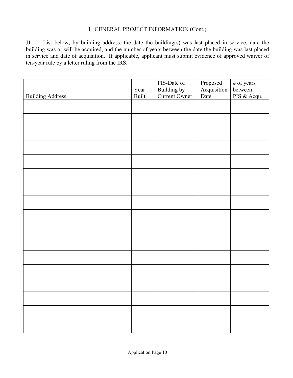JJ. List below, by building address, the date the building(s) was last placed in service, date the building was or will be acquired, and the number of years between the date the building was last placed in service and date of acquisition. If applicable, applicant must submit evidence of approved waiver of ten-year rule by a letter ruling from the IRS.

|                         |       | PIS-Date of                  | Proposed    | $\overline{\# \text{ of } }$ years |
|-------------------------|-------|------------------------------|-------------|------------------------------------|
|                         | Year  | Building by<br>Current Owner | Acquisition | between                            |
| <b>Building Address</b> | Built |                              | Date        | PIS & Acqu.                        |
|                         |       |                              |             |                                    |
|                         |       |                              |             |                                    |
|                         |       |                              |             |                                    |
|                         |       |                              |             |                                    |
|                         |       |                              |             |                                    |
|                         |       |                              |             |                                    |
|                         |       |                              |             |                                    |
|                         |       |                              |             |                                    |
|                         |       |                              |             |                                    |
|                         |       |                              |             |                                    |
|                         |       |                              |             |                                    |
|                         |       |                              |             |                                    |
|                         |       |                              |             |                                    |
|                         |       |                              |             |                                    |
|                         |       |                              |             |                                    |
|                         |       |                              |             |                                    |
|                         |       |                              |             |                                    |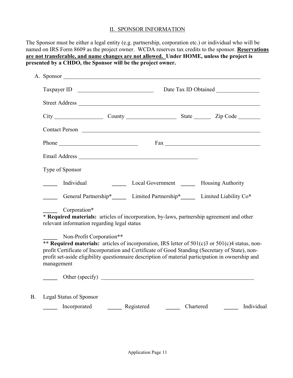#### II. SPONSOR INFORMATION

The Sponsor must be either a legal entity (e.g. partnership, corporation etc.) or individual who will be named on IRS Form 8609 as the project owner. WCDA reserves tax credits to the sponsor. **Reservations are not transferable, and name changes are not allowed. Under HOME, unless the project is presented by a CHDO, the Sponsor will be the project owner.** 

|                                                             |                                |                 | City County County State Zip Code                                                                                                                                                                                                                                                                       |
|-------------------------------------------------------------|--------------------------------|-----------------|---------------------------------------------------------------------------------------------------------------------------------------------------------------------------------------------------------------------------------------------------------------------------------------------------------|
|                                                             |                                |                 | Contact Person and the contract Person and the contract of the contract of the contract of the contract of the contract of the contract of the contract of the contract of the contract of the contract of the contract of the                                                                          |
|                                                             |                                |                 |                                                                                                                                                                                                                                                                                                         |
|                                                             |                                |                 |                                                                                                                                                                                                                                                                                                         |
| Type of Sponsor                                             |                                |                 |                                                                                                                                                                                                                                                                                                         |
| Individual                                                  |                                |                 | Local Government Housing Authority                                                                                                                                                                                                                                                                      |
|                                                             |                                |                 | General Partnership*________ Limited Partnership*________ Limited Liability Co*                                                                                                                                                                                                                         |
| Corporation*<br>relevant information regarding legal status |                                |                 | * Required materials: articles of incorporation, by-laws, partnership agreement and other                                                                                                                                                                                                               |
| Non-Profit Corporation**<br>management                      |                                |                 | ** Required materials: articles of incorporation, IRS letter of 501(c)3 or 501(c)4 status, non-<br>profit Certificate of Incorporation and Certificate of Good Standing (Secretary of State), non-<br>profit set-aside eligibility questionnaire description of material participation in ownership and |
|                                                             |                                | Other (specify) |                                                                                                                                                                                                                                                                                                         |
|                                                             | <b>Legal Status of Sponsor</b> |                 |                                                                                                                                                                                                                                                                                                         |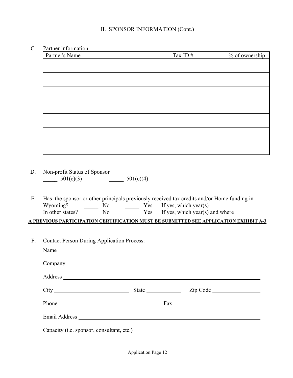#### II. SPONSOR INFORMATION (Cont.)

#### C. Partner information

| Partner's Name | Tax ID# | % of ownership |
|----------------|---------|----------------|
|                |         |                |
|                |         |                |
|                |         |                |
|                |         |                |
|                |         |                |
|                |         |                |
|                |         |                |
|                |         |                |
|                |         |                |
|                |         |                |
|                |         |                |
|                |         |                |
|                |         |                |
|                |         |                |

 D. Non-profit Status of Sponsor  $\frac{501(c)(3)}{2}$  501(c)(4)

E. Has the sponsor or other principals previously received tax credits and/or Home funding in Wyoming? No The Mes. The Mes. which year(s) If yes, which year(s)  $\qquad$ In other states? No No Yes If yes, which year(s) and where

**A PREVIOUS PARTICIPATION CERTIFICATION MUST BE SUBMITTED SEE APPLICATION EXHIBIT A-3**

| <b>Contact Person During Application Process:</b> |      |          |
|---------------------------------------------------|------|----------|
|                                                   | Name |          |
|                                                   |      |          |
|                                                   |      |          |
|                                                   |      | Zip Code |
|                                                   |      |          |
|                                                   |      |          |
|                                                   |      |          |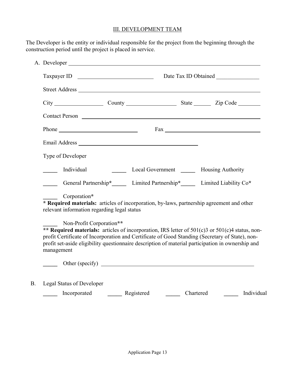#### III. DEVELOPMENT TEAM

The Developer is the entity or individual responsible for the project from the beginning through the construction period until the project is placed in service.

|                                  | Taxpayer ID                                                                                                                                                                                                                                                                                                                         |                                            |            |
|----------------------------------|-------------------------------------------------------------------------------------------------------------------------------------------------------------------------------------------------------------------------------------------------------------------------------------------------------------------------------------|--------------------------------------------|------------|
|                                  |                                                                                                                                                                                                                                                                                                                                     |                                            |            |
|                                  | City County County State Zip Code                                                                                                                                                                                                                                                                                                   |                                            |            |
|                                  | Contact Person New York Contact Person                                                                                                                                                                                                                                                                                              |                                            |            |
|                                  | Phone Fax Fax Fax Phone                                                                                                                                                                                                                                                                                                             |                                            |            |
|                                  |                                                                                                                                                                                                                                                                                                                                     |                                            |            |
| Type of Developer                |                                                                                                                                                                                                                                                                                                                                     |                                            |            |
| Individual                       |                                                                                                                                                                                                                                                                                                                                     | Local Government _______ Housing Authority |            |
|                                  | General Partnership* Limited Partnership* Limited Liability Co*                                                                                                                                                                                                                                                                     |                                            |            |
| Corporation*                     | * Required materials: articles of incorporation, by-laws, partnership agreement and other<br>relevant information regarding legal status                                                                                                                                                                                            |                                            |            |
| management                       | Non-Profit Corporation**<br>** Required materials: articles of incorporation, IRS letter of 501(c)3 or 501(c)4 status, non-<br>profit Certificate of Incorporation and Certificate of Good Standing (Secretary of State), non-<br>profit set-aside eligibility questionnaire description of material participation in ownership and |                                            |            |
|                                  | Other (specify)                                                                                                                                                                                                                                                                                                                     |                                            |            |
| <b>Legal Status of Developer</b> | Incorporated Registered                                                                                                                                                                                                                                                                                                             | Chartered                                  | Individual |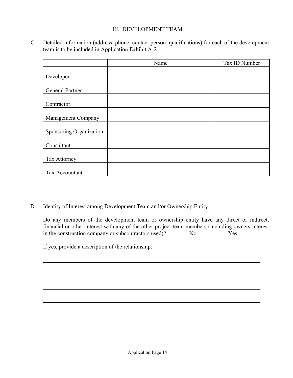#### III. DEVELOPMENT TEAM

 C. Detailed information (address, phone, contact person, qualifications) for each of the development team is to be included in Application Exhibit A-2.

|                         | Name | Tax ID Number |
|-------------------------|------|---------------|
|                         |      |               |
| Developer               |      |               |
|                         |      |               |
| General Partner         |      |               |
|                         |      |               |
| Contractor              |      |               |
|                         |      |               |
| Management Company      |      |               |
|                         |      |               |
| Sponsoring Organization |      |               |
|                         |      |               |
| Consultant              |      |               |
|                         |      |               |
| Tax Attorney            |      |               |
|                         |      |               |
| Tax Accountant          |      |               |

D. Identity of Interest among Development Team and/or Ownership Entity

Do any members of the development team or ownership entity have any direct or indirect, financial or other interest with any of the other project team members (including owners interest in the construction company or subcontractors used)? **\_\_\_\_\_** No **\_\_\_\_\_** Yes

If yes, provide a description of the relationship.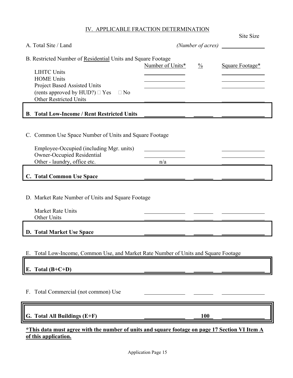# IV. APPLICABLE FRACTION DETERMINATION

|                                                                                                                                                              |                  |                     | Site Size       |
|--------------------------------------------------------------------------------------------------------------------------------------------------------------|------------------|---------------------|-----------------|
| A. Total Site / Land                                                                                                                                         |                  | (Number of acres) _ |                 |
| B. Restricted Number of Residential Units and Square Footage                                                                                                 |                  |                     |                 |
| <b>LIHTC Units</b><br><b>HOME Units</b><br>Project Based Assisted Units<br>(rents approved by HUD?) $\Box$ Yes<br>$\Box$ No<br><b>Other Restricted Units</b> | Number of Units* | $\frac{0}{0}$       | Square Footage* |
| <b>B. Total Low-Income / Rent Restricted Units</b>                                                                                                           |                  |                     |                 |
| C. Common Use Space Number of Units and Square Footage<br>Employee-Occupied (including Mgr. units)<br><b>Owner-Occupied Residential</b>                      |                  |                     |                 |
| Other - laundry, office etc.                                                                                                                                 | n/a              |                     |                 |
| C. Total Common Use Space                                                                                                                                    |                  |                     |                 |
| D. Market Rate Number of Units and Square Footage<br><b>Market Rate Units</b><br>Other Units                                                                 |                  |                     |                 |
| D. Total Market Use Space                                                                                                                                    |                  |                     |                 |
| E. Total Low-Income, Common Use, and Market Rate Number of Units and Square Footage                                                                          |                  |                     |                 |
| Total $(B+C+D)$                                                                                                                                              |                  |                     |                 |
| Total Commercial (not common) Use<br>F.                                                                                                                      |                  |                     |                 |
| G. Total All Buildings (E+F)                                                                                                                                 |                  | <b>100</b>          |                 |
| *This data must agree with the number of units and square footage on page 17 Section VI Item A                                                               |                  |                     |                 |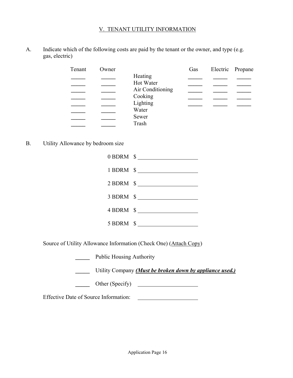#### V. TENANT UTILITY INFORMATION

A. Indicate which of the following costs are paid by the tenant or the owner, and type (e.g. gas, electric)

| Tenant | Owner |                  | Gas | Electric Propane |
|--------|-------|------------------|-----|------------------|
|        |       | Heating          |     |                  |
|        |       | Hot Water        |     |                  |
|        |       | Air Conditioning |     |                  |
|        |       | Cooking          |     |                  |
|        |       | Lighting         |     |                  |
|        |       | Water            |     |                  |
|        |       | Sewer            |     |                  |
|        |       | Trash            |     |                  |

B. Utility Allowance by bedroom size

|           | 0 BDRM \$ |
|-----------|-----------|
|           |           |
|           | 2 BDRM \$ |
|           |           |
|           | 4 BDRM \$ |
| 5 BDRM \$ |           |

Source of Utility Allowance Information (Check One) (Attach Copy)

|                                              | <b>Public Housing Authority</b>                                 |
|----------------------------------------------|-----------------------------------------------------------------|
|                                              | Utility Company <i>(Must be broken down by appliance used.)</i> |
|                                              | Other (Specify) $\qquad \qquad$                                 |
| <b>Effective Date of Source Information:</b> |                                                                 |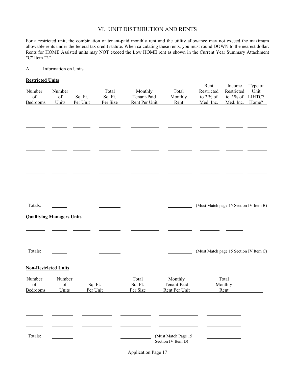#### VI. UNIT DISTRIBUTION AND RENTS

For a restricted unit, the combination of tenant-paid monthly rent and the utility allowance may not exceed the maximum allowable rents under the federal tax credit statute. When calculating these rents, you must round DOWN to the nearest dollar. Rents for HOME Assisted units may NOT exceed the Low HOME rent as shown in the Current Year Summary Attachment "C" Item "2".

A. Information on Units

#### **Restricted Units**

| Number<br>of<br>Bedrooms         | Number<br>$% \left( \left( \mathcal{A},\mathcal{A}\right) \right) =\left( \mathcal{A},\mathcal{A}\right)$ of<br>Units | Sq. Ft.<br>Per Unit | Total<br>Sq. Ft.<br>Per Size | Monthly<br>Tenant-Paid<br>Rent Per Unit | Total<br>Monthly<br>Rent                  | Rent<br>Restricted<br>to $? %$ of<br>Med. Inc. | Income<br>Restricted<br>to $? %$ of<br>Med. Inc. | Type of<br>Unit<br>LIHTC?<br>Home? |
|----------------------------------|-----------------------------------------------------------------------------------------------------------------------|---------------------|------------------------------|-----------------------------------------|-------------------------------------------|------------------------------------------------|--------------------------------------------------|------------------------------------|
|                                  |                                                                                                                       |                     |                              |                                         |                                           |                                                |                                                  |                                    |
|                                  |                                                                                                                       |                     |                              |                                         |                                           |                                                |                                                  |                                    |
|                                  |                                                                                                                       |                     |                              |                                         |                                           |                                                |                                                  |                                    |
|                                  |                                                                                                                       |                     |                              |                                         |                                           |                                                |                                                  |                                    |
| Totals:                          |                                                                                                                       |                     |                              |                                         |                                           | (Must Match page 15 Section IV Item B)         |                                                  |                                    |
| <b>Qualifying Managers Units</b> |                                                                                                                       |                     |                              |                                         |                                           |                                                |                                                  |                                    |
|                                  |                                                                                                                       |                     |                              |                                         |                                           |                                                |                                                  |                                    |
| Totals:                          |                                                                                                                       |                     |                              |                                         |                                           | (Must Match page 15 Section IV Item C)         |                                                  |                                    |
| <b>Non-Restricted Units</b>      |                                                                                                                       |                     |                              |                                         |                                           |                                                |                                                  |                                    |
| Number<br>of<br>Bedrooms         | Number<br>of<br>Units                                                                                                 | Sq. Ft.<br>Per Unit |                              | Total<br>Sq. Ft.<br>Per Size            | Monthly<br>Tenant-Paid<br>Rent Per Unit   |                                                | Total<br>Monthly<br>Rent                         |                                    |
|                                  |                                                                                                                       |                     |                              |                                         |                                           |                                                |                                                  |                                    |
|                                  |                                                                                                                       |                     |                              |                                         |                                           |                                                |                                                  |                                    |
| Totals:                          |                                                                                                                       |                     |                              |                                         | (Must Match Page 15<br>Section IV Item D) |                                                |                                                  |                                    |

Application Page 17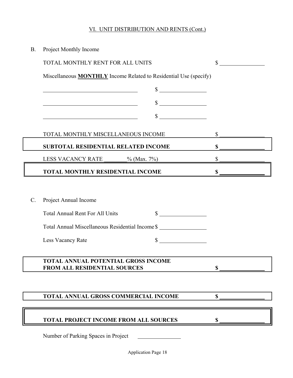# VI. UNIT DISTRIBUTION AND RENTS (Cont.)

| <b>B.</b> | Project Monthly Income                                                                                                               |             |
|-----------|--------------------------------------------------------------------------------------------------------------------------------------|-------------|
|           | TOTAL MONTHLY RENT FOR ALL UNITS                                                                                                     | \$          |
|           | Miscellaneous <b>MONTHLY</b> Income Related to Residential Use (specify)                                                             |             |
|           | $\sim$                                                                                                                               |             |
|           | $\frac{\text{S}}{\text{S}}$                                                                                                          |             |
|           | $\mathbb{S}$<br><u> 1980 - Johann Barn, mars ann an t-Amhain Aonaich an t-Aonaich an t-Aonaich ann an t-Aonaich ann an t-Aonaich</u> |             |
|           | TOTAL MONTHLY MISCELLANEOUS INCOME                                                                                                   | \$          |
|           | SUBTOTAL RESIDENTIAL RELATED INCOME                                                                                                  | \$          |
|           | LESS VACANCY RATE _______% (Max. 7%)                                                                                                 | \$          |
|           | <b>TOTAL MONTHLY RESIDENTIAL INCOME</b>                                                                                              | $\mathbf S$ |
|           |                                                                                                                                      |             |
| C.        | Project Annual Income                                                                                                                |             |
|           | $\sim$<br><b>Total Annual Rent For All Units</b>                                                                                     |             |
|           | Total Annual Miscellaneous Residential Income \$                                                                                     |             |
|           | Less Vacancy Rate<br>\$                                                                                                              |             |
|           | TOTAL ANNUAL POTENTIAL GROSS INCOME<br><b>FROM ALL RESIDENTIAL SOURCES</b>                                                           | <b>S</b>    |
|           |                                                                                                                                      |             |
|           | <b>TOTAL ANNUAL GROSS COMMERCIAL INCOME</b>                                                                                          | \$          |
|           | <b>TOTAL PROJECT INCOME FROM ALL SOURCES</b>                                                                                         |             |
|           |                                                                                                                                      |             |

Number of Parking Spaces in Project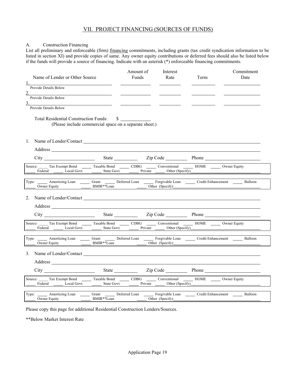#### VII. PROJECT FINANCING (SOURCES OF FUNDS)

#### A. Construction Financing

List all preliminary and enforceable (firm) financing commitments, including grants (tax credit syndication information to be listed in section XI) and provide copies of same. Any owner equity contributions or deferred fees should also be listed below if the funds will provide a source of financing. Indicate with an asterisk (\*) enforceable financing commitments.

| Name of Lender or Other Source                                                                                                                                                                                                 | Amount of<br>Funds | Interest<br>Rate       | Term | Commitment<br>Date                                                                                                                                                                                                                                                                                  |
|--------------------------------------------------------------------------------------------------------------------------------------------------------------------------------------------------------------------------------|--------------------|------------------------|------|-----------------------------------------------------------------------------------------------------------------------------------------------------------------------------------------------------------------------------------------------------------------------------------------------------|
| Provide Details Below                                                                                                                                                                                                          |                    |                        |      |                                                                                                                                                                                                                                                                                                     |
| 2.<br><u> 1989 - Johann Barbara, martin a</u><br>Provide Details Below                                                                                                                                                         |                    |                        |      |                                                                                                                                                                                                                                                                                                     |
| $\overline{3}$ .<br>Provide Details Below                                                                                                                                                                                      |                    |                        |      |                                                                                                                                                                                                                                                                                                     |
| Total Residential Construction Funds:<br>(Please include commercial space on a separate sheet.)                                                                                                                                | $\mathbb{S}$       |                        |      |                                                                                                                                                                                                                                                                                                     |
|                                                                                                                                                                                                                                |                    |                        |      |                                                                                                                                                                                                                                                                                                     |
|                                                                                                                                                                                                                                |                    |                        |      |                                                                                                                                                                                                                                                                                                     |
|                                                                                                                                                                                                                                |                    |                        |      |                                                                                                                                                                                                                                                                                                     |
| Source: Tax Exempt Bond Taxable Bond CDBG Conventional HOME Owner Equity<br>Federal _________ Local Govt. __________ State Govt. _________ Private _______ Other (Specify)___________                                          |                    |                        |      |                                                                                                                                                                                                                                                                                                     |
| Type: ______ Amortizing Loan ______ Grant ______ Deferred Loan ______ Forgivable Loan ______ Credit Enhancement ______ Balloon<br>Owner Equity BMIR <sup>*</sup> Loan                                                          |                    | Other (Specify)_______ |      |                                                                                                                                                                                                                                                                                                     |
| 2. Name of Lender/Contact 2008 and 2008 and 2008 and 2008 and 2008 and 2008 and 2008 and 2008 and 2008 and 2008 and 2008 and 2008 and 2008 and 2008 and 2008 and 2008 and 2008 and 2008 and 2008 and 2008 and 2008 and 2008 an |                    |                        |      |                                                                                                                                                                                                                                                                                                     |
|                                                                                                                                                                                                                                |                    |                        |      | State <u>Cip</u> Code Phone Cipes Code                                                                                                                                                                                                                                                              |
| Source: Tax Exempt Bond Taxable Bond CDBG Conventional MOME Owner Equity                                                                                                                                                       |                    |                        |      |                                                                                                                                                                                                                                                                                                     |
| Type: ______ Amortizing Loan _______ Grant ______ Deferred Loan ______ Forgivable Loan ______ Credit Enhancement ______ Balloon<br>Owner Equity BMIR <sup>**</sup> Loan                                                        |                    |                        |      |                                                                                                                                                                                                                                                                                                     |
| 3. Name of Lender/Contact                                                                                                                                                                                                      |                    |                        |      |                                                                                                                                                                                                                                                                                                     |
|                                                                                                                                                                                                                                |                    |                        |      |                                                                                                                                                                                                                                                                                                     |
|                                                                                                                                                                                                                                |                    |                        |      | State <u>Cip</u> Code <b>Cip Code</b> Phone <b>Cip</b> Phone <b>Cip</b> 2.1 Phone <b>Cip</b> 2.1 Phone <b>Cip</b> 2.1 Phone <b>Cip</b> 2.1 Phone <b>Cip</b> 2.1 Phone <b>Cip</b> 2.1 Phone <b>Cip</b> 2.1 Phone <b>Cip</b> 2.1 Phone <b>Cip</b> 2.1 Phone <b>Cip</b> 2.1 Phone <b>Cip</b> 2.1 Phone |
| Source: Tax Exempt Bond Taxable Bond CDBG Conventional MOME Owner Equity<br>Federal ________ Local Govt. __________ State Govt. __________ Private ________ Other (Specify)___________                                         |                    |                        |      |                                                                                                                                                                                                                                                                                                     |
| Type: _______ Amortizing Loan ________ Grant _________ Deferred Loan ________ Forgivable Loan _______ Credit Enhancement ______<br>BMIR**Loan<br>Owner Equity                                                                  |                    | Other (Specify)        |      | Balloon                                                                                                                                                                                                                                                                                             |

Please copy this page for additional Residential Construction Lenders/Sources.

\*\*Below Market Interest Rate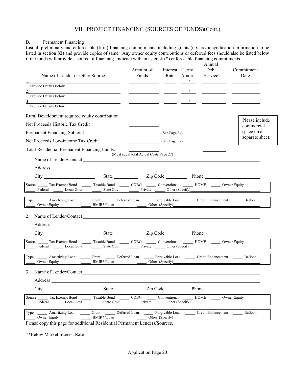#### VII. PROJECT FINANCING (SOURCES OF FUNDS)(Cont.)

#### B. Permanent Financing

List all preliminary and enforceable (firm) financing commitments, including grants (tax credit syndication information to be listed in section XI) and provide copies of same. Any owner equity contributions or deferred fees should also be listed below if the funds will provide a source of financing. Indicate with an asterisk (\*) enforceable financing commitments.

| Name of Lender or Other Source                                                                                                                                                                                                 | Amount of<br>Funds                      | Interest Term/<br>Rate               | Amort | Annual<br>Debt<br>Service | Commitment<br>Date                                                                                                                                                                                                                                                                                  |
|--------------------------------------------------------------------------------------------------------------------------------------------------------------------------------------------------------------------------------|-----------------------------------------|--------------------------------------|-------|---------------------------|-----------------------------------------------------------------------------------------------------------------------------------------------------------------------------------------------------------------------------------------------------------------------------------------------------|
| Provide Details Below                                                                                                                                                                                                          |                                         |                                      |       |                           |                                                                                                                                                                                                                                                                                                     |
| 2.<br>Provide Details Below                                                                                                                                                                                                    |                                         |                                      |       |                           |                                                                                                                                                                                                                                                                                                     |
| $\overline{3}$ .<br>the control of the control of the control of the control of the control of<br>Provide Details Below                                                                                                        |                                         |                                      |       |                           |                                                                                                                                                                                                                                                                                                     |
| Rural Development required equity contribution                                                                                                                                                                                 |                                         |                                      |       |                           |                                                                                                                                                                                                                                                                                                     |
| Net Proceeds Historic Tax Credit                                                                                                                                                                                               |                                         |                                      |       |                           | Please include<br>commercial                                                                                                                                                                                                                                                                        |
| Permanent Financing Subtotal                                                                                                                                                                                                   | (See Page 34)                           |                                      |       |                           | space on a                                                                                                                                                                                                                                                                                          |
| Net Proceeds Low-income Tax Credit                                                                                                                                                                                             | (See Page 37)                           |                                      |       |                           | separate sheet.                                                                                                                                                                                                                                                                                     |
| Total Residential Permanent Financing Funds:                                                                                                                                                                                   |                                         |                                      |       |                           |                                                                                                                                                                                                                                                                                                     |
| 1. Name of Lender/Contact                                                                                                                                                                                                      | (Must equal total Actual Costs Page 27) |                                      |       |                           |                                                                                                                                                                                                                                                                                                     |
| Address and the state of the state of the state of the state of the state of the state of the state of the state of the state of the state of the state of the state of the state of the state of the state of the state of th |                                         |                                      |       |                           |                                                                                                                                                                                                                                                                                                     |
|                                                                                                                                                                                                                                |                                         |                                      |       |                           | State <u>Cip</u> Code <b>Cip Code</b> Phone <b>Cip</b> Phone <b>Cip</b> 2.1 Phone <b>Cip</b> 2.1 Phone <b>Cip</b> 2.1 Phone <b>Cip</b> 2.1 Phone <b>Cip</b> 2.1 Phone <b>Cip</b> 2.1 Phone <b>Cip</b> 2.1 Phone <b>Cip</b> 2.1 Phone <b>Cip</b> 2.1 Phone <b>Cip</b> 2.1 Phone <b>Cip</b> 2.1 Phone |
| Source: Tax Exempt Bond Taxable Bond CDBG Conventional HOME Owner Equity<br>Federal ________ Local Govt. __________ State Govt. ________                                                                                       |                                         | Private ________ Other (Specify)____ |       |                           |                                                                                                                                                                                                                                                                                                     |
| Type: ______ Amortizing Loan ______ Grant ______ Deferred Loan ______ Forgivable Loan ______ Credit Enhancement ______ Balloon<br>$B MIR**$ Loan<br>Owner Equity                                                               |                                         | Other (Specify)                      |       |                           |                                                                                                                                                                                                                                                                                                     |
| 2. Name of Lender/Contact                                                                                                                                                                                                      |                                         |                                      |       |                           |                                                                                                                                                                                                                                                                                                     |
|                                                                                                                                                                                                                                |                                         |                                      |       |                           | State <u>Cip</u> Code <b>Cip Code</b> Phone <b>Cip</b> 2.1 Phone <b>City</b>                                                                                                                                                                                                                        |
| Source: Tax Exempt Bond Taxable Bond CDBG Conventional MOME Owner Equity<br>Federal ________ Local Govt. _______<br>State Govt.                                                                                                |                                         | Private ________ Other (Specify)____ |       |                           |                                                                                                                                                                                                                                                                                                     |
| Type: ______ Amortizing Loan ______ Grant ______ Deferred Loan ______ Forgivable Loan ______ Credit Enhancement ______ Balloon<br>BMIR**Loan<br>Owner Equity <b>COMPACT</b>                                                    |                                         |                                      |       |                           |                                                                                                                                                                                                                                                                                                     |
| 3. Name of Lender/Contact                                                                                                                                                                                                      |                                         |                                      |       |                           |                                                                                                                                                                                                                                                                                                     |
| Address                                                                                                                                                                                                                        |                                         |                                      |       |                           |                                                                                                                                                                                                                                                                                                     |
| State<br>City                                                                                                                                                                                                                  |                                         | Zip Code Phone                       |       |                           |                                                                                                                                                                                                                                                                                                     |
| Source: Tax Exempt Bond<br>Taxable Bond<br>Federal Local Govt.<br>State Govt.                                                                                                                                                  | CDBG<br>Private                         | Conventional<br>Other (Specify)      |       | HOME Owner Equity         |                                                                                                                                                                                                                                                                                                     |
| Grant _______ Deferred Loan _______ Forgivable Loan _______ Credit Enhancement _______ Balloon<br>Type: <b>Amortizing Loan</b><br>BMIR**Loan<br>Owner Equity<br>$\overline{a}$ $\overline{a}$<br>$\mathbf{A}$                  | $\overline{a}$                          | Other (Specify)                      |       |                           |                                                                                                                                                                                                                                                                                                     |

Please copy this page for additional Residential Permanent Lenders/Sources.

\*\*Below Market Interest Rate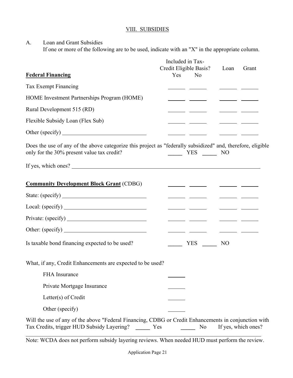#### VIII. SUBSIDIES

A. Loan and Grant Subsidies If one or more of the following are to be used, indicate with an "X" in the appropriate column.

|                                                                                                                                                           | Included in Tax- | Credit Eligible Basis?                                              | Loan                                                                                                                                                                                                                                 | Grant               |
|-----------------------------------------------------------------------------------------------------------------------------------------------------------|------------------|---------------------------------------------------------------------|--------------------------------------------------------------------------------------------------------------------------------------------------------------------------------------------------------------------------------------|---------------------|
| <b>Federal Financing</b>                                                                                                                                  | Yes              | N <sub>0</sub>                                                      |                                                                                                                                                                                                                                      |                     |
| <b>Tax Exempt Financing</b>                                                                                                                               |                  | $\overline{\phantom{a}}$ . The contract of $\overline{\phantom{a}}$ | <u> The Common School and School and School and School and School and School and School and School and School and School and School and School and School and School and School and School and School and School and School and </u> |                     |
| <b>HOME</b> Investment Partnerships Program (HOME)                                                                                                        |                  |                                                                     |                                                                                                                                                                                                                                      |                     |
| Rural Development 515 (RD)                                                                                                                                |                  |                                                                     |                                                                                                                                                                                                                                      |                     |
| Flexible Subsidy Loan (Flex Sub)                                                                                                                          |                  |                                                                     |                                                                                                                                                                                                                                      |                     |
|                                                                                                                                                           |                  |                                                                     |                                                                                                                                                                                                                                      |                     |
| Does the use of any of the above categorize this project as "federally subsidized" and, therefore, eligible<br>only for the 30% present value tax credit? |                  | $\frac{\text{YES}}{\text{YES}}$ NO                                  |                                                                                                                                                                                                                                      |                     |
|                                                                                                                                                           |                  |                                                                     |                                                                                                                                                                                                                                      |                     |
| <b>Community Development Block Grant (CDBG)</b>                                                                                                           |                  |                                                                     |                                                                                                                                                                                                                                      |                     |
|                                                                                                                                                           |                  |                                                                     |                                                                                                                                                                                                                                      |                     |
|                                                                                                                                                           |                  |                                                                     | <u> Albanya (Albanya Albanya)</u>                                                                                                                                                                                                    |                     |
|                                                                                                                                                           |                  |                                                                     |                                                                                                                                                                                                                                      |                     |
|                                                                                                                                                           |                  |                                                                     |                                                                                                                                                                                                                                      |                     |
| Is taxable bond financing expected to be used?                                                                                                            |                  |                                                                     | N <sub>O</sub>                                                                                                                                                                                                                       |                     |
| What, if any, Credit Enhancements are expected to be used?                                                                                                |                  |                                                                     |                                                                                                                                                                                                                                      |                     |
| FHA Insurance                                                                                                                                             |                  |                                                                     |                                                                                                                                                                                                                                      |                     |
| Private Mortgage Insurance                                                                                                                                |                  |                                                                     |                                                                                                                                                                                                                                      |                     |
| Letter $(s)$ of Credit                                                                                                                                    |                  |                                                                     |                                                                                                                                                                                                                                      |                     |
| Other (specify)                                                                                                                                           |                  |                                                                     |                                                                                                                                                                                                                                      |                     |
| Will the use of any of the above "Federal Financing, CDBG or Credit Enhancements in conjunction with<br>Tax Credits, trigger HUD Subsidy Layering?<br>Yes |                  | N <sub>0</sub>                                                      |                                                                                                                                                                                                                                      | If yes, which ones? |

Note: WCDA does not perform subsidy layering reviews. When needed HUD must perform the review.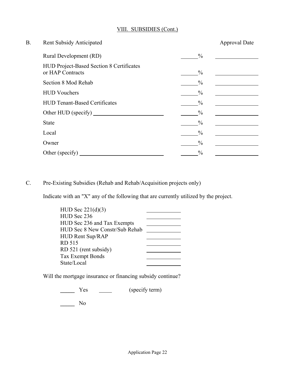#### VIII. SUBSIDIES (Cont.)

| Β. | <b>Rent Subsidy Anticipated</b>                                     |               | <b>Approval Date</b> |
|----|---------------------------------------------------------------------|---------------|----------------------|
|    | Rural Development (RD)                                              | $\frac{0}{0}$ |                      |
|    | <b>HUD Project-Based Section 8 Certificates</b><br>or HAP Contracts | $\frac{0}{0}$ |                      |
|    | Section 8 Mod Rehab                                                 | $\frac{0}{0}$ |                      |
|    | <b>HUD Vouchers</b>                                                 | $\frac{0}{0}$ |                      |
|    | <b>HUD Tenant-Based Certificates</b>                                | $\frac{0}{0}$ |                      |
|    | Other HUD (specify)                                                 | $\frac{0}{0}$ |                      |
|    | <b>State</b>                                                        | $\frac{0}{0}$ |                      |
|    | Local                                                               | $\frac{0}{0}$ |                      |
|    | Owner                                                               | $\frac{0}{0}$ |                      |
|    | Other (specify)                                                     | $\frac{0}{0}$ |                      |

C. Pre-Existing Subsidies (Rehab and Rehab/Acquisition projects only)

Indicate with an "X" any of the following that are currently utilized by the project.

| HUD Sec $221(d)(3)$            |  |
|--------------------------------|--|
| HUD Sec 236                    |  |
| HUD Sec 236 and Tax Exempts    |  |
| HUD Sec 8 New Constr/Sub Rehab |  |
| <b>HUD Rent Sup/RAP</b>        |  |
| <b>RD 515</b>                  |  |
| RD 521 (rent subsidy)          |  |
| <b>Tax Exempt Bonds</b>        |  |
| State/Local                    |  |

Will the mortgage insurance or financing subsidy continue?

**\_\_\_\_\_** Yes (specify term)

**\_\_\_\_\_** No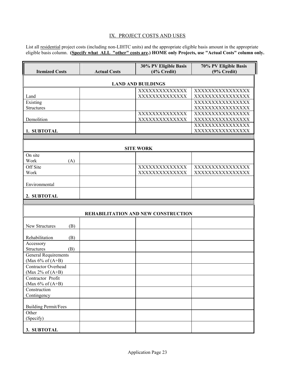#### IX. PROJECT COSTS AND USES

List all residential project costs (including non-LIHTC units) and the appropriate eligible basis amount in the appropriate eligible basis column. **(Specify what ALL "other" costs are.) HOME only Projects, use "Actual Costs" column only.** 

| <b>Itemized Costs</b>       |                     | 30% PV Eligible Basis<br>$(4%$ Credit) | 70% PV Eligible Basis<br>(9% Credit) |  |  |  |  |  |
|-----------------------------|---------------------|----------------------------------------|--------------------------------------|--|--|--|--|--|
|                             | <b>Actual Costs</b> |                                        |                                      |  |  |  |  |  |
|                             |                     | <b>LAND AND BUILDINGS</b>              |                                      |  |  |  |  |  |
|                             |                     | XXXXXXXXXXXXX                          | XXXXXXXXXXXXXXX                      |  |  |  |  |  |
| Land                        |                     | XXXXXXXXXXXXX                          | XXXXXXXXXXXXXXX                      |  |  |  |  |  |
| Existing                    |                     | XXXXXXXXXXXXXXX                        |                                      |  |  |  |  |  |
| <b>Structures</b>           |                     | XXXXXXXXXXXXXXX                        |                                      |  |  |  |  |  |
|                             |                     | XXXXXXXXXXXXX                          | XXXXXXXXXXXXXXX                      |  |  |  |  |  |
| Demolition                  |                     | XXXXXXXXXXXXX                          | XXXXXXXXXXXXXXX                      |  |  |  |  |  |
|                             |                     |                                        | XXXXXXXXXXXXXXX<br>XXXXXXXXXXXXXXX   |  |  |  |  |  |
| 1. SUBTOTAL                 |                     |                                        |                                      |  |  |  |  |  |
|                             |                     |                                        |                                      |  |  |  |  |  |
|                             |                     | <b>SITE WORK</b>                       |                                      |  |  |  |  |  |
| On site                     |                     |                                        |                                      |  |  |  |  |  |
| Work<br>(A)                 |                     |                                        |                                      |  |  |  |  |  |
| Off Site                    |                     | XXXXXXXXXXXXX                          | XXXXXXXXXXXXXXX                      |  |  |  |  |  |
| Work                        |                     | XXXXXXXXXXXXX                          | XXXXXXXXXXXXXXX                      |  |  |  |  |  |
| Environmental               |                     |                                        |                                      |  |  |  |  |  |
|                             |                     |                                        |                                      |  |  |  |  |  |
| 2. SUBTOTAL                 |                     |                                        |                                      |  |  |  |  |  |
|                             |                     |                                        |                                      |  |  |  |  |  |
|                             |                     | REHABILITATION AND NEW CONSTRUCTION    |                                      |  |  |  |  |  |
| New Structures<br>(B)       |                     |                                        |                                      |  |  |  |  |  |
|                             |                     |                                        |                                      |  |  |  |  |  |
| Rehabilitation<br>(B)       |                     |                                        |                                      |  |  |  |  |  |
| Accessory                   |                     |                                        |                                      |  |  |  |  |  |
| Structures<br>(B)           |                     |                                        |                                      |  |  |  |  |  |
| <b>General Requirements</b> |                     |                                        |                                      |  |  |  |  |  |
| (Max $6\%$ of $(A+B)$       |                     |                                        |                                      |  |  |  |  |  |
| <b>Contractor Overhead</b>  |                     |                                        |                                      |  |  |  |  |  |
| (Max $2\%$ of $(A+B)$       |                     |                                        |                                      |  |  |  |  |  |
| Contractor Profit           |                     |                                        |                                      |  |  |  |  |  |
| (Max $6\%$ of $(A+B)$       |                     |                                        |                                      |  |  |  |  |  |
| Construction                |                     |                                        |                                      |  |  |  |  |  |
| Contingency                 |                     |                                        |                                      |  |  |  |  |  |
| <b>Building Permit/Fees</b> |                     |                                        |                                      |  |  |  |  |  |
| Other                       |                     |                                        |                                      |  |  |  |  |  |
| (Specify)                   |                     |                                        |                                      |  |  |  |  |  |
|                             |                     |                                        |                                      |  |  |  |  |  |
| 3. SUBTOTAL                 |                     |                                        |                                      |  |  |  |  |  |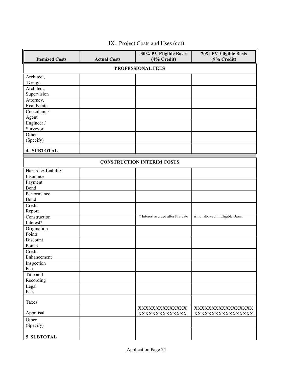| <b>Itemized Costs</b>       | <b>Actual Costs</b> | 30% PV Eligible Basis<br>$(4%$ Credit) | 70% PV Eligible Basis<br>(9% Credit) |
|-----------------------------|---------------------|----------------------------------------|--------------------------------------|
|                             |                     | PROFESSIONAL FEES                      |                                      |
| Architect,                  |                     |                                        |                                      |
| Design                      |                     |                                        |                                      |
| Architect,                  |                     |                                        |                                      |
| Supervision                 |                     |                                        |                                      |
| Attorney,                   |                     |                                        |                                      |
| Real Estate<br>Consultant / |                     |                                        |                                      |
| Agent                       |                     |                                        |                                      |
| Engineer /                  |                     |                                        |                                      |
| Surveyor                    |                     |                                        |                                      |
| Other                       |                     |                                        |                                      |
| (Specify)                   |                     |                                        |                                      |
| 4. SUBTOTAL                 |                     |                                        |                                      |
|                             |                     | <b>CONSTRUCTION INTERIM COSTS</b>      |                                      |
| Hazard & Liability          |                     |                                        |                                      |
| Insurance                   |                     |                                        |                                      |
| Payment                     |                     |                                        |                                      |
| Bond                        |                     |                                        |                                      |
| Performance                 |                     |                                        |                                      |
| Bond                        |                     |                                        |                                      |
| Credit                      |                     |                                        |                                      |
| Report<br>Construction      |                     | * Interest accrued after PIS date      | is not allowed in Eligible Basis.    |
| Interest*                   |                     |                                        |                                      |
| Origination                 |                     |                                        |                                      |
| Points                      |                     |                                        |                                      |
| Discount                    |                     |                                        |                                      |
| Points                      |                     |                                        |                                      |
| Credit                      |                     |                                        |                                      |
| Enhancement                 |                     |                                        |                                      |
| Inspection                  |                     |                                        |                                      |
| Fees                        |                     |                                        |                                      |
| Title and<br>Recording      |                     |                                        |                                      |
| Legal                       |                     |                                        |                                      |
| Fees                        |                     |                                        |                                      |
| Taxes                       |                     |                                        |                                      |
|                             |                     | XXXXXXXXXXXXX                          | XXXXXXXXXXXXXXXX                     |
| Appraisal                   |                     | XXXXXXXXXXXXX                          | XXXXXXXXXXXXXXXX                     |
| Other                       |                     |                                        |                                      |
| (Specify)                   |                     |                                        |                                      |
| 5 SUBTOTAL                  |                     |                                        |                                      |

# IX. Project Costs and Uses (cot)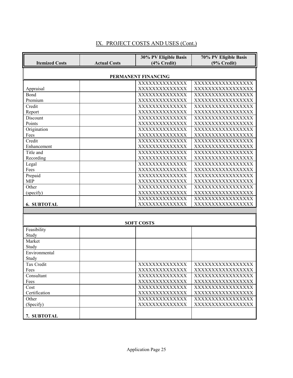# IX. PROJECT COSTS AND USES (Cont.)

|                       | 70% PV Eligible Basis<br>30% PV Eligible Basis |                     |                  |  |  |  |  |
|-----------------------|------------------------------------------------|---------------------|------------------|--|--|--|--|
| <b>Itemized Costs</b> | <b>Actual Costs</b>                            | $(4%$ Credit)       | $(9%$ Credit)    |  |  |  |  |
|                       |                                                |                     |                  |  |  |  |  |
|                       |                                                | PERMANENT FINANCING |                  |  |  |  |  |
|                       |                                                | XXXXXXXXXXXXX       | XXXXXXXXXXXXXXXX |  |  |  |  |
| Appraisal             |                                                | XXXXXXXXXXXXX       | XXXXXXXXXXXXXXXX |  |  |  |  |
| Bond                  |                                                | XXXXXXXXXXXXX       | XXXXXXXXXXXXXXXX |  |  |  |  |
| Premium               |                                                | XXXXXXXXXXXXX       | XXXXXXXXXXXXXXXX |  |  |  |  |
| Credit                |                                                | XXXXXXXXXXXXX       | XXXXXXXXXXXXXXXX |  |  |  |  |
| Report                |                                                | XXXXXXXXXXXXX       | XXXXXXXXXXXXXXXX |  |  |  |  |
| Discount              |                                                | XXXXXXXXXXXXX       | XXXXXXXXXXXXXXXX |  |  |  |  |
| Points                |                                                | XXXXXXXXXXXXX       | XXXXXXXXXXXXXXXX |  |  |  |  |
| Origination           |                                                | XXXXXXXXXXXXX       | XXXXXXXXXXXXXXXX |  |  |  |  |
| Fees                  |                                                | XXXXXXXXXXXXX       | XXXXXXXXXXXXXXXX |  |  |  |  |
| Credit                |                                                | XXXXXXXXXXXXX       | XXXXXXXXXXXXXXXX |  |  |  |  |
| Enhancement           |                                                | XXXXXXXXXXXXX       | XXXXXXXXXXXXXXXX |  |  |  |  |
| Title and             |                                                | XXXXXXXXXXXXX       | XXXXXXXXXXXXXXXX |  |  |  |  |
| Recording             |                                                | XXXXXXXXXXXXX       | XXXXXXXXXXXXXXXX |  |  |  |  |
| Legal                 |                                                | XXXXXXXXXXXXX       | XXXXXXXXXXXXXXXX |  |  |  |  |
| Fees                  |                                                | XXXXXXXXXXXXX       | XXXXXXXXXXXXXXXX |  |  |  |  |
| Prepaid               |                                                | XXXXXXXXXXXXX       | XXXXXXXXXXXXXXXX |  |  |  |  |
| <b>MIP</b>            |                                                | XXXXXXXXXXXXX       | XXXXXXXXXXXXXXXX |  |  |  |  |
| Other                 |                                                | XXXXXXXXXXXXX       | XXXXXXXXXXXXXXXX |  |  |  |  |
| (specify)             |                                                | XXXXXXXXXXXXX       | XXXXXXXXXXXXXXXX |  |  |  |  |
|                       |                                                | XXXXXXXXXXXXX       | XXXXXXXXXXXXXXXX |  |  |  |  |
| 6. SUBTOTAL           |                                                | XXXXXXXXXXXXX       | XXXXXXXXXXXXXXXX |  |  |  |  |
|                       |                                                |                     |                  |  |  |  |  |
|                       |                                                |                     |                  |  |  |  |  |
|                       |                                                | <b>SOFT COSTS</b>   |                  |  |  |  |  |
| Feasibility           |                                                |                     |                  |  |  |  |  |
| Study                 |                                                |                     |                  |  |  |  |  |
| Market                |                                                |                     |                  |  |  |  |  |
| Study                 |                                                |                     |                  |  |  |  |  |
| Environmental         |                                                |                     |                  |  |  |  |  |
| Study                 |                                                |                     |                  |  |  |  |  |
| <b>Tax Credit</b>     |                                                | XXXXXXXXXXXXX       | XXXXXXXXXXXXXXXX |  |  |  |  |
| Fees                  |                                                | XXXXXXXXXXXXX       | XXXXXXXXXXXXXXXX |  |  |  |  |
| Consultant            |                                                | XXXXXXXXXXXXX       | XXXXXXXXXXXXXXXX |  |  |  |  |
| Fees                  |                                                | XXXXXXXXXXXXX       | XXXXXXXXXXXXXXXX |  |  |  |  |
| Cost                  |                                                | XXXXXXXXXXXXX       | XXXXXXXXXXXXXXXX |  |  |  |  |
| Certification         |                                                | XXXXXXXXXXXXX       | XXXXXXXXXXXXXXXX |  |  |  |  |
| Other                 |                                                | XXXXXXXXXXXXX       | XXXXXXXXXXXXXXXX |  |  |  |  |
| (Specify)             |                                                | XXXXXXXXXXXXX       | XXXXXXXXXXXXXXXX |  |  |  |  |
| 7. SUBTOTAL           |                                                |                     |                  |  |  |  |  |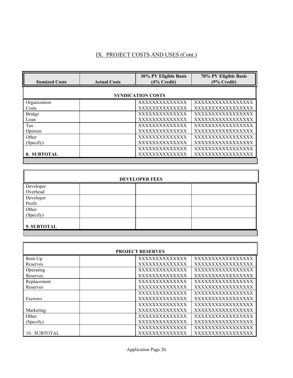# IX. PROJECT COSTS AND USES (Cont.)

| <b>Itemized Costs</b> | <b>Actual Costs</b> | 30% PV Eligible Basis<br>$(4%$ Credit) | 70% PV Eligible Basis<br>$(9%$ Credit) |  |  |
|-----------------------|---------------------|----------------------------------------|----------------------------------------|--|--|
|                       |                     | <b>SYNDICATION COSTS</b>               |                                        |  |  |
| Organization          |                     | XXXXXXXXXXXXX                          | XXXXXXXXXXXXXXXX                       |  |  |
| Costs                 |                     | XXXXXXXXXXXXX                          | XXXXXXXXXXXXXXXX                       |  |  |
| <b>Bridge</b>         |                     | XXXXXXXXXXXXX                          | XXXXXXXXXXXXXXXX                       |  |  |
| Loan                  |                     | XXXXXXXXXXXXX                          | XXXXXXXXXXXXXXXX                       |  |  |
| Tax                   |                     | XXXXXXXXXXXXX                          | XXXXXXXXXXXXXXXX                       |  |  |
| Opinion               |                     | XXXXXXXXXXXXX                          | XXXXXXXXXXXXXXXX                       |  |  |
| Other                 |                     | XXXXXXXXXXXXX                          | XXXXXXXXXXXXXXXX                       |  |  |
| (Specify)             |                     | XXXXXXXXXXXXX                          | XXXXXXXXXXXXXXXX                       |  |  |
|                       |                     | XXXXXXXXXXXXX                          | XXXXXXXXXXXXXXXX                       |  |  |
| <b>8. SUBTOTAL</b>    |                     | XXXXXXXXXXXXX                          | XXXXXXXXXXXXXXXX                       |  |  |

| <b>DEVELOPER FEES</b> |  |  |  |  |  |
|-----------------------|--|--|--|--|--|
| Developer<br>Overhead |  |  |  |  |  |
| Developer<br>Profit   |  |  |  |  |  |
| Other<br>(Specify)    |  |  |  |  |  |
| 9. SUBTOTAL           |  |  |  |  |  |
|                       |  |  |  |  |  |

r.

r.

|              | <b>PROJECT RESERVES</b> |                  |  |  |  |  |  |
|--------------|-------------------------|------------------|--|--|--|--|--|
| Rent-Up      | XXXXXXXXXXXXX           | XXXXXXXXXXXXXXXX |  |  |  |  |  |
| Reserves     | XXXXXXXXXXXXX           | XXXXXXXXXXXXXXXX |  |  |  |  |  |
| Operating    | XXXXXXXXXXXXX           | XXXXXXXXXXXXXXXX |  |  |  |  |  |
| Reserves     | XXXXXXXXXXXXX           | XXXXXXXXXXXXXXXX |  |  |  |  |  |
| Replacement  | XXXXXXXXXXXXX           | XXXXXXXXXXXXXXXX |  |  |  |  |  |
| Reserves     | XXXXXXXXXXXXX           | XXXXXXXXXXXXXXXX |  |  |  |  |  |
|              | XXXXXXXXXXXXX           | XXXXXXXXXXXXXXXX |  |  |  |  |  |
| Escrows      | XXXXXXXXXXXXX           | XXXXXXXXXXXXXXXX |  |  |  |  |  |
|              | XXXXXXXXXXXXX           | XXXXXXXXXXXXXXXX |  |  |  |  |  |
| Marketing    | XXXXXXXXXXXXX           | XXXXXXXXXXXXXXXX |  |  |  |  |  |
| Other        | XXXXXXXXXXXXX           | XXXXXXXXXXXXXXXX |  |  |  |  |  |
| (Specify)    | XXXXXXXXXXXXX           | XXXXXXXXXXXXXXXX |  |  |  |  |  |
|              | XXXXXXXXXXXXX           | XXXXXXXXXXXXXXXX |  |  |  |  |  |
| 10. SUBTOTAL | XXXXXXXXXXXXX           | XXXXXXXXXXXXXXXX |  |  |  |  |  |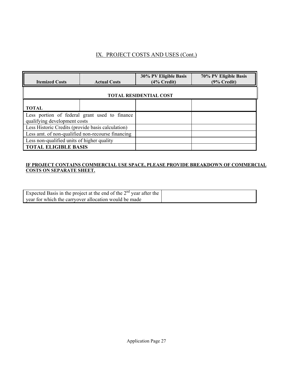## IX. PROJECT COSTS AND USES (Cont.)

| <b>Itemized Costs</b>                             | <b>Actual Costs</b>                           | 30% PV Eligible Basis<br>$(4%$ Credit) | 70% PV Eligible Basis<br>$(9%$ Credit) |
|---------------------------------------------------|-----------------------------------------------|----------------------------------------|----------------------------------------|
|                                                   |                                               | <b>TOTAL RESIDENTIAL COST</b>          |                                        |
| <b>TOTAL</b>                                      |                                               |                                        |                                        |
|                                                   | Less portion of federal grant used to finance |                                        |                                        |
| qualifying development costs                      |                                               |                                        |                                        |
| Less Historic Credits (provide basis calculation) |                                               |                                        |                                        |
| Less amt. of non-qualified non-recourse financing |                                               |                                        |                                        |
| Less non-qualified units of higher quality        |                                               |                                        |                                        |
| <b>TOTAL ELIGIBLE BASIS</b>                       |                                               |                                        |                                        |

#### **IF PROJECT CONTAINS COMMERCIAL USE SPACE, PLEASE PROVIDE BREAKDOWN OF COMMERCIAL COSTS ON SEPARATE SHEET.**

| Expected Basis in the project at the end of the $2^{nd}$ year after the $\vert$ |  |
|---------------------------------------------------------------------------------|--|
| year for which the carryover allocation would be made                           |  |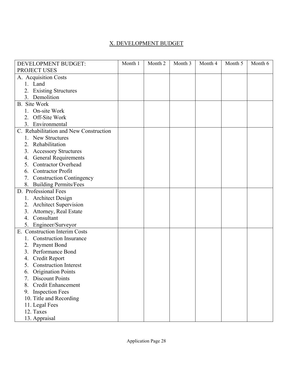# X. DEVELOPMENT BUDGET

| DEVELOPMENT BUDGET:                    | Month 1 | Month 2 | Month 3 | Month 4 | Month 5 | Month 6 |
|----------------------------------------|---------|---------|---------|---------|---------|---------|
| PROJECT USES                           |         |         |         |         |         |         |
| A. Acquisition Costs                   |         |         |         |         |         |         |
| 1. Land                                |         |         |         |         |         |         |
| 2. Existing Structures                 |         |         |         |         |         |         |
| 3. Demolition                          |         |         |         |         |         |         |
| <b>B.</b> Site Work                    |         |         |         |         |         |         |
| On-site Work                           |         |         |         |         |         |         |
| Off-Site Work<br>2.                    |         |         |         |         |         |         |
| 3. Environmental                       |         |         |         |         |         |         |
| C. Rehabilitation and New Construction |         |         |         |         |         |         |
| New Structures                         |         |         |         |         |         |         |
| Rehabilitation<br>2.                   |         |         |         |         |         |         |
| 3. Accessory Structures                |         |         |         |         |         |         |
| 4. General Requirements                |         |         |         |         |         |         |
| <b>Contractor Overhead</b><br>5.       |         |         |         |         |         |         |
| <b>Contractor Profit</b><br>6.         |         |         |         |         |         |         |
| 7. Construction Contingency            |         |         |         |         |         |         |
| 8. Building Permits/Fees               |         |         |         |         |         |         |
| D. Professional Fees                   |         |         |         |         |         |         |
| 1. Architect Design                    |         |         |         |         |         |         |
| 2. Architect Supervision               |         |         |         |         |         |         |
| Attorney, Real Estate<br>3.            |         |         |         |         |         |         |
| 4. Consultant                          |         |         |         |         |         |         |
| 5. Engineer/Surveyor                   |         |         |         |         |         |         |
| E. Construction Interim Costs          |         |         |         |         |         |         |
| <b>Construction Insurance</b>          |         |         |         |         |         |         |
| 2. Payment Bond                        |         |         |         |         |         |         |
| 3. Performance Bond                    |         |         |         |         |         |         |
| 4. Credit Report                       |         |         |         |         |         |         |
| <b>Construction Interest</b><br>5.     |         |         |         |         |         |         |
| 6. Origination Points                  |         |         |         |         |         |         |
| 7. Discount Points                     |         |         |         |         |         |         |
| Credit Enhancement<br>8.               |         |         |         |         |         |         |
| 9. Inspection Fees                     |         |         |         |         |         |         |
| 10. Title and Recording                |         |         |         |         |         |         |
| 11. Legal Fees                         |         |         |         |         |         |         |
| 12. Taxes                              |         |         |         |         |         |         |
| 13. Appraisal                          |         |         |         |         |         |         |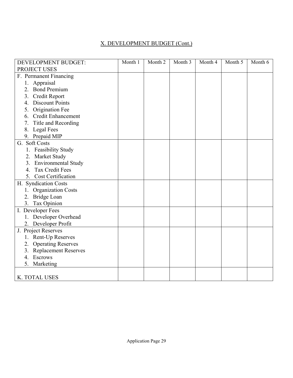| DEVELOPMENT BUDGET:              | Month 1 | Month 2 | Month 3 | Month 4 | Month 5 | Month 6 |
|----------------------------------|---------|---------|---------|---------|---------|---------|
| PROJECT USES                     |         |         |         |         |         |         |
| F. Permanent Financing           |         |         |         |         |         |         |
| 1. Appraisal                     |         |         |         |         |         |         |
| 2. Bond Premium                  |         |         |         |         |         |         |
| 3. Credit Report                 |         |         |         |         |         |         |
| <b>Discount Points</b><br>4.     |         |         |         |         |         |         |
| Origination Fee<br>5.            |         |         |         |         |         |         |
| 6. Credit Enhancement            |         |         |         |         |         |         |
| Title and Recording<br>7.        |         |         |         |         |         |         |
| 8. Legal Fees                    |         |         |         |         |         |         |
| 9. Prepaid MIP                   |         |         |         |         |         |         |
| G. Soft Costs                    |         |         |         |         |         |         |
| 1. Feasibility Study             |         |         |         |         |         |         |
| 2. Market Study                  |         |         |         |         |         |         |
| <b>Environmental Study</b><br>3. |         |         |         |         |         |         |
| Tax Credit Fees<br>4.            |         |         |         |         |         |         |
| 5. Cost Certification            |         |         |         |         |         |         |
| H. Syndication Costs             |         |         |         |         |         |         |
| 1. Organization Costs            |         |         |         |         |         |         |
| 2. Bridge Loan                   |         |         |         |         |         |         |
| 3. Tax Opinion                   |         |         |         |         |         |         |
| I. Developer Fees                |         |         |         |         |         |         |
| 1. Developer Overhead            |         |         |         |         |         |         |
| 2. Developer Profit              |         |         |         |         |         |         |
| J. Project Reserves              |         |         |         |         |         |         |
| 1. Rent-Up Reserves              |         |         |         |         |         |         |
| 2. Operating Reserves            |         |         |         |         |         |         |
| 3. Replacement Reserves          |         |         |         |         |         |         |
| 4. Escrows                       |         |         |         |         |         |         |
| 5.<br>Marketing                  |         |         |         |         |         |         |
|                                  |         |         |         |         |         |         |
| K. TOTAL USES                    |         |         |         |         |         |         |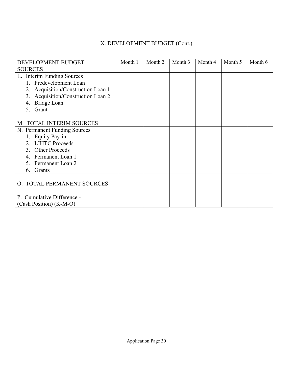| DEVELOPMENT BUDGET:                   | Month 1 | Month 2 | Month 3 | Month 4 | Month 5 | Month 6 |
|---------------------------------------|---------|---------|---------|---------|---------|---------|
| <b>SOURCES</b>                        |         |         |         |         |         |         |
| L. Interim Funding Sources            |         |         |         |         |         |         |
| 1. Predevelopment Loan                |         |         |         |         |         |         |
| Acquisition/Construction Loan 1<br>2. |         |         |         |         |         |         |
| Acquisition/Construction Loan 2<br>3. |         |         |         |         |         |         |
| Bridge Loan<br>4.                     |         |         |         |         |         |         |
| Grant<br>5.                           |         |         |         |         |         |         |
|                                       |         |         |         |         |         |         |
| M. TOTAL INTERIM SOURCES              |         |         |         |         |         |         |
| N. Permanent Funding Sources          |         |         |         |         |         |         |
| 1. Equity Pay-in                      |         |         |         |         |         |         |
| 2. LIHTC Proceeds                     |         |         |         |         |         |         |
| <b>Other Proceeds</b><br>$3_{-}$      |         |         |         |         |         |         |
| Permanent Loan 1<br>4                 |         |         |         |         |         |         |
| Permanent Loan 2                      |         |         |         |         |         |         |
| Grants<br>6.                          |         |         |         |         |         |         |
|                                       |         |         |         |         |         |         |
| O. TOTAL PERMANENT SOURCES            |         |         |         |         |         |         |
|                                       |         |         |         |         |         |         |
| P. Cumulative Difference -            |         |         |         |         |         |         |
| $(Cash Position) (K-M-O)$             |         |         |         |         |         |         |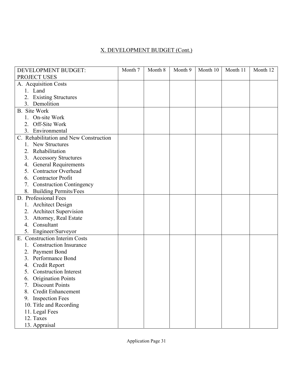| DEVELOPMENT BUDGET:                    | Month 7 | Month 8 | Month 9 | Month 10 | Month 11 | Month 12 |
|----------------------------------------|---------|---------|---------|----------|----------|----------|
| PROJECT USES                           |         |         |         |          |          |          |
| A. Acquisition Costs                   |         |         |         |          |          |          |
| 1. Land                                |         |         |         |          |          |          |
| 2. Existing Structures                 |         |         |         |          |          |          |
| 3. Demolition                          |         |         |         |          |          |          |
| <b>B.</b> Site Work                    |         |         |         |          |          |          |
| On-site Work                           |         |         |         |          |          |          |
| Off-Site Work<br>2.                    |         |         |         |          |          |          |
| 3. Environmental                       |         |         |         |          |          |          |
| C. Rehabilitation and New Construction |         |         |         |          |          |          |
| New Structures                         |         |         |         |          |          |          |
| Rehabilitation<br>2.                   |         |         |         |          |          |          |
| <b>Accessory Structures</b><br>3.      |         |         |         |          |          |          |
| <b>General Requirements</b><br>4.      |         |         |         |          |          |          |
| <b>Contractor Overhead</b><br>5.       |         |         |         |          |          |          |
| <b>Contractor Profit</b><br>6.         |         |         |         |          |          |          |
| <b>Construction Contingency</b><br>7.  |         |         |         |          |          |          |
| 8. Building Permits/Fees               |         |         |         |          |          |          |
| D. Professional Fees                   |         |         |         |          |          |          |
| 1. Architect Design                    |         |         |         |          |          |          |
| 2. Architect Supervision               |         |         |         |          |          |          |
| Attorney, Real Estate<br>3.            |         |         |         |          |          |          |
| Consultant<br>4.                       |         |         |         |          |          |          |
| 5. Engineer/Surveyor                   |         |         |         |          |          |          |
| E. Construction Interim Costs          |         |         |         |          |          |          |
| <b>Construction Insurance</b>          |         |         |         |          |          |          |
| Payment Bond<br>2.                     |         |         |         |          |          |          |
| 3. Performance Bond                    |         |         |         |          |          |          |
| Credit Report<br>4.                    |         |         |         |          |          |          |
| <b>Construction Interest</b><br>5.     |         |         |         |          |          |          |
| 6. Origination Points                  |         |         |         |          |          |          |
| 7. Discount Points                     |         |         |         |          |          |          |
| <b>Credit Enhancement</b><br>8.        |         |         |         |          |          |          |
| 9. Inspection Fees                     |         |         |         |          |          |          |
| 10. Title and Recording                |         |         |         |          |          |          |
| 11. Legal Fees                         |         |         |         |          |          |          |
| 12. Taxes                              |         |         |         |          |          |          |
| 13. Appraisal                          |         |         |         |          |          |          |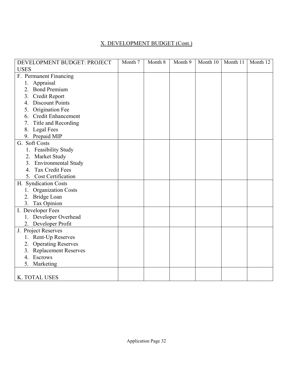| DEVELOPMENT BUDGET: PROJECT | Month 7 | Month 8 | Month 9 | Month 10 | Month 11 | Month 12 |
|-----------------------------|---------|---------|---------|----------|----------|----------|
| <b>USES</b>                 |         |         |         |          |          |          |
| F. Permanent Financing      |         |         |         |          |          |          |
| Appraisal                   |         |         |         |          |          |          |
| 2. Bond Premium             |         |         |         |          |          |          |
| 3. Credit Report            |         |         |         |          |          |          |
| 4. Discount Points          |         |         |         |          |          |          |
| Origination Fee<br>5.       |         |         |         |          |          |          |
| 6. Credit Enhancement       |         |         |         |          |          |          |
| 7. Title and Recording      |         |         |         |          |          |          |
| 8. Legal Fees               |         |         |         |          |          |          |
| 9. Prepaid MIP              |         |         |         |          |          |          |
| G. Soft Costs               |         |         |         |          |          |          |
| 1. Feasibility Study        |         |         |         |          |          |          |
| 2. Market Study             |         |         |         |          |          |          |
| 3. Environmental Study      |         |         |         |          |          |          |
| 4. Tax Credit Fees          |         |         |         |          |          |          |
| 5. Cost Certification       |         |         |         |          |          |          |
| H. Syndication Costs        |         |         |         |          |          |          |
| 1. Organization Costs       |         |         |         |          |          |          |
| 2. Bridge Loan              |         |         |         |          |          |          |
| 3. Tax Opinion              |         |         |         |          |          |          |
| I. Developer Fees           |         |         |         |          |          |          |
| 1. Developer Overhead       |         |         |         |          |          |          |
| 2. Developer Profit         |         |         |         |          |          |          |
| J. Project Reserves         |         |         |         |          |          |          |
| 1. Rent-Up Reserves         |         |         |         |          |          |          |
| 2. Operating Reserves       |         |         |         |          |          |          |
| 3. Replacement Reserves     |         |         |         |          |          |          |
| 4. Escrows                  |         |         |         |          |          |          |
| 5. Marketing                |         |         |         |          |          |          |
|                             |         |         |         |          |          |          |
| K. TOTAL USES               |         |         |         |          |          |          |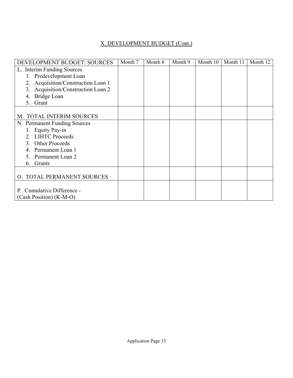| DEVELOPMENT BUDGET: SOURCES           | Month 7 | Month 8 | Month 9 | Month 10 | Month 11 | Month 12 |
|---------------------------------------|---------|---------|---------|----------|----------|----------|
| L. Interim Funding Sources            |         |         |         |          |          |          |
| 1. Predevelopment Loan                |         |         |         |          |          |          |
| 2. Acquisition/Construction Loan 1    |         |         |         |          |          |          |
| Acquisition/Construction Loan 2<br>3. |         |         |         |          |          |          |
| Bridge Loan<br>4.                     |         |         |         |          |          |          |
| Grant<br>5.                           |         |         |         |          |          |          |
|                                       |         |         |         |          |          |          |
| M. TOTAL INTERIM SOURCES              |         |         |         |          |          |          |
| N. Permanent Funding Sources          |         |         |         |          |          |          |
| 1. Equity Pay-in                      |         |         |         |          |          |          |
| 2. LIHTC Proceeds                     |         |         |         |          |          |          |
| <b>Other Proceeds</b><br>3            |         |         |         |          |          |          |
| Permanent Loan 1                      |         |         |         |          |          |          |
| Permanent Loan 2<br>5.                |         |         |         |          |          |          |
| Grants<br>6.                          |         |         |         |          |          |          |
|                                       |         |         |         |          |          |          |
| <b>O. TOTAL PERMANENT SOURCES</b>     |         |         |         |          |          |          |
|                                       |         |         |         |          |          |          |
| P. Cumulative Difference -            |         |         |         |          |          |          |
| (Cash Position) (K-M-O)               |         |         |         |          |          |          |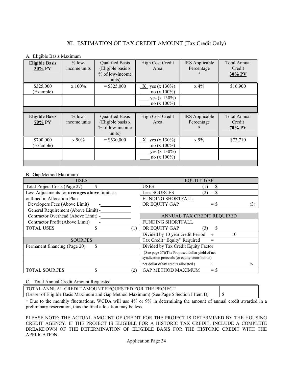# XI. ESTIMATION OF TAX CREDIT AMOUNT (Tax Credit Only)

#### A. Eligible Basis Maximum

| <b>Eligible Basis</b><br>30% PV    | $\%$ low-<br>income units | <b>Qualified Basis</b><br>(Eligible basis x<br>% of low-income<br>units) | High Cost Credit<br>Area            | IRS Applicable<br>Percentage<br>$\star$        | <b>Total Annual</b><br>Credit<br>30% PV        |
|------------------------------------|---------------------------|--------------------------------------------------------------------------|-------------------------------------|------------------------------------------------|------------------------------------------------|
| \$325,000<br>(Example)             | $x\ 100\%$                | $=$ \$325,000                                                            | $X$ yes (x 130%)<br>no (x $100\%$ ) | x 4%                                           | \$16,900                                       |
|                                    |                           |                                                                          | yes (x $130\%$ )<br>no (x $100\%$ ) |                                                |                                                |
|                                    |                           |                                                                          |                                     |                                                |                                                |
| <b>Eligible Basis</b><br>$70\%$ PV | $\%$ low-<br>income units | <b>Qualified Basis</b><br>(Eligible basis x<br>% of low-income<br>units) | High Cost Credit<br>Area            | <b>IRS</b> Applicable<br>Percentage<br>$\star$ | <b>Total Annual</b><br>Credit<br><b>70% PV</b> |
| \$700,000<br>(Example)             | $x\,90\%$                 | $=$ \$630,000                                                            | $X$ yes (x 130%)<br>no (x $100\%$ ) | x 9%                                           | \$73,710                                       |
|                                    |                           |                                                                          | yes (x $130\%$ )<br>no (x $100\%$ ) |                                                |                                                |

#### B. Gap Method Maximum

| <b>USES</b>                                   |              | <b>EQUITY GAP</b>                                |               |
|-----------------------------------------------|--------------|--------------------------------------------------|---------------|
| Total Project Costs (Page 27)                 |              | <b>USES</b>                                      |               |
| Less Adjustments for overages above limits as |              | <b>Less SOURCES</b><br>- \$<br>(2)               |               |
| outlined in Allocation Plan                   |              | <b>FUNDING SHORTFALL</b>                         |               |
| Developers Fees (Above Limit)                 |              | OR EQUITY GAP<br>$=$ \$                          | (3)           |
| General Requirement (Above Limit) -           |              |                                                  |               |
| Contractor Overhead (Above Limit) -           |              | ANNUAL TAX CREDIT REQUIRED                       |               |
| Contractor Profit (Above Limit)               |              | FUNDING SHORTFALL                                |               |
| <b>TOTAL USES</b>                             | [1]          | OR EQUITY GAP<br><b>S</b><br>(3)                 |               |
|                                               |              | Divided by 10 year credit Period<br>10<br>$\div$ |               |
| <b>SOURCES</b>                                |              | Tax Credit "Equity" Required<br>$=$              |               |
| Permanent financing (Page 20)                 |              | Divided by Tax Credit Equity Factor              |               |
|                                               |              | (See page 37)(The Proposed dollar yield of net   |               |
|                                               |              | syndication proceeds (or equity contribution)    |               |
|                                               |              | per dollar of tax credits allocated.)<br>÷       | $\frac{0}{0}$ |
| <b>TOTAL SOURCES</b>                          | $\mathbf{2}$ | GAP METHOD MAXIMUM<br>$=$ \$                     |               |

#### C. Total Annual Credit Amount Requested

| TOTAL ANNUAL CREDIT AMOUNT REQUESTED FOR THE PROJECT                                    |  |
|-----------------------------------------------------------------------------------------|--|
| (Lesser of Eligible Basis Maximum and Gap Method Maximum) (See Page 5 Section I Item B) |  |

**\*** Due to the monthly fluctuations, WCDA will use 4% or 9% in determining the amount of annual credit awarded in a preliminary reservation, thus the final allocation may be less.

PLEASE NOTE: THE ACTUAL AMOUNT OF CREDIT FOR THE PROJECT IS DETERMINED BY THE HOUSING CREDIT AGENCY. IF THE PROJECT IS ELIGIBLE FOR A HISTORIC TAX CREDIT, INCLUDE A COMPLETE BREAKDOWN OF THE DETERMINATION OF ELIGIBLE BASIS FOR THE HISTORIC CREDIT WITH THE APPLICATION.

Application Page 34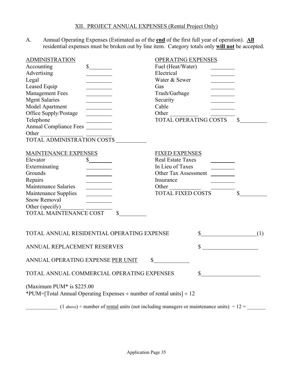#### XII. PROJECT ANNUAL EXPENSES (Rental Project Only)

A. Annual Operating Expenses (Estimated as of the **end** of the first full year of operation). **All** residential expenses must be broken out by line item. Category totals only **will not** be accepted.

| <b>ADMINISTRATION</b>             |                                                                                                                                                                                                                                                                                                                                                                              | <b>OPERATING EXPENSES</b> |              |     |
|-----------------------------------|------------------------------------------------------------------------------------------------------------------------------------------------------------------------------------------------------------------------------------------------------------------------------------------------------------------------------------------------------------------------------|---------------------------|--------------|-----|
| Accounting                        | $\frac{\sqrt{2}}{2}$                                                                                                                                                                                                                                                                                                                                                         | Fuel (Heat/Water)         |              |     |
| Advertising                       |                                                                                                                                                                                                                                                                                                                                                                              | Electrical                |              |     |
| Legal                             |                                                                                                                                                                                                                                                                                                                                                                              | Water & Sewer             |              |     |
| Leased Equip                      |                                                                                                                                                                                                                                                                                                                                                                              | Gas                       |              |     |
| <b>Management Fees</b>            |                                                                                                                                                                                                                                                                                                                                                                              | Trash/Garbage             |              |     |
| <b>Mgmt Salaries</b>              |                                                                                                                                                                                                                                                                                                                                                                              | Security                  |              |     |
| Model Apartment                   |                                                                                                                                                                                                                                                                                                                                                                              | Cable                     |              |     |
| Office Supply/Postage             | $\overline{\phantom{a}}$                                                                                                                                                                                                                                                                                                                                                     | Other                     |              |     |
| Telephone                         |                                                                                                                                                                                                                                                                                                                                                                              | TOTAL OPERATING COSTS     |              |     |
| Annual Compliance Fees            |                                                                                                                                                                                                                                                                                                                                                                              |                           |              |     |
| Other                             |                                                                                                                                                                                                                                                                                                                                                                              |                           |              |     |
| TOTAL ADMINISTRATION COST\$       |                                                                                                                                                                                                                                                                                                                                                                              |                           |              |     |
| MAINTENANCE EXPENSES              |                                                                                                                                                                                                                                                                                                                                                                              | <b>FIXED EXPENSES</b>     |              |     |
| Elevator                          | $\frac{\S_{\frac{1}{2}}}{\S_{\frac{1}{2}}}{\S_{\frac{1}{2}}}{\S_{\frac{1}{2}}}{\S_{\frac{1}{2}}}{\S_{\frac{1}{2}}}{\S_{\frac{1}{2}}}{\S_{\frac{1}{2}}}{\S_{\frac{1}{2}}}{\S_{\frac{1}{2}}}{\S_{\frac{1}{2}}}{\S_{\frac{1}{2}}}{\S_{\frac{1}{2}}}{\S_{\frac{1}{2}}}{\S_{\frac{1}{2}}}{\S_{\frac{1}{2}}}{\S_{\frac{1}{2}}}{\S_{\frac{1}{2}}}{\S_{\frac{1}{2}}}{\S_{\frac{1}{2$ | <b>Real Estate Taxes</b>  |              |     |
| Exterminating                     |                                                                                                                                                                                                                                                                                                                                                                              | In Lieu of Taxes          |              |     |
| Grounds                           |                                                                                                                                                                                                                                                                                                                                                                              | Other Tax Assessment      |              |     |
| Repairs                           |                                                                                                                                                                                                                                                                                                                                                                              | Insurance                 |              |     |
| Maintenance Salaries              | <u> 1990 - Jan Jawa</u>                                                                                                                                                                                                                                                                                                                                                      | Other                     |              |     |
| Maintenance Supplies              |                                                                                                                                                                                                                                                                                                                                                                              | <b>TOTAL FIXED COSTS</b>  |              | \$  |
| <b>Snow Removal</b>               |                                                                                                                                                                                                                                                                                                                                                                              |                           |              |     |
| Other (specify)                   |                                                                                                                                                                                                                                                                                                                                                                              |                           |              |     |
| TOTAL MAINTENANCE COST            | $\mathbb{S}$                                                                                                                                                                                                                                                                                                                                                                 |                           |              |     |
|                                   |                                                                                                                                                                                                                                                                                                                                                                              |                           |              |     |
|                                   | TOTAL ANNUAL RESIDENTIAL OPERATING EXPENSE                                                                                                                                                                                                                                                                                                                                   |                           | $\mathbb{S}$ | (1) |
| ANNUAL REPLACEMENT RESERVES       |                                                                                                                                                                                                                                                                                                                                                                              | \$                        |              |     |
| ANNUAL OPERATING EXPENSE PER UNIT | \$                                                                                                                                                                                                                                                                                                                                                                           |                           |              |     |
|                                   | TOTAL ANNUAL COMMERCIAL OPERATING EXPENSES                                                                                                                                                                                                                                                                                                                                   | \$                        |              |     |
| (Maximum PUM* is \$225.00)        |                                                                                                                                                                                                                                                                                                                                                                              |                           |              |     |
|                                   | *PUM=[Total Annual Operating Expenses $\div$ number of rental units] $\div$ 12                                                                                                                                                                                                                                                                                               |                           |              |     |
|                                   | (1 above) ÷ number of <u>rental</u> units (not including managers or maintenance units) ÷ 12 =                                                                                                                                                                                                                                                                               |                           |              |     |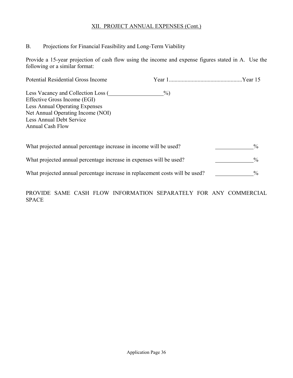#### XII. PROJECT ANNUAL EXPENSES (Cont.)

#### B. Projections for Financial Feasibility and Long-Term Viability

Provide a 15-year projection of cash flow using the income and expense figures stated in A. Use the following or a similar format:

| <b>Potential Residential Gross Income</b>                                    |        |               |
|------------------------------------------------------------------------------|--------|---------------|
| Less Vacancy and Collection Loss (                                           | $\%$ ) |               |
| Effective Gross Income (EGI)                                                 |        |               |
| <b>Less Annual Operating Expenses</b>                                        |        |               |
| Net Annual Operating Income (NOI)                                            |        |               |
| Less Annual Debt Service                                                     |        |               |
| <b>Annual Cash Flow</b>                                                      |        |               |
| What projected annual percentage increase in income will be used?            |        | $\frac{0}{0}$ |
| What projected annual percentage increase in expenses will be used?          |        | $\frac{0}{0}$ |
| What projected annual percentage increase in replacement costs will be used? |        | $\frac{0}{0}$ |

PROVIDE SAME CASH FLOW INFORMATION SEPARATELY FOR ANY COMMERCIAL SPACE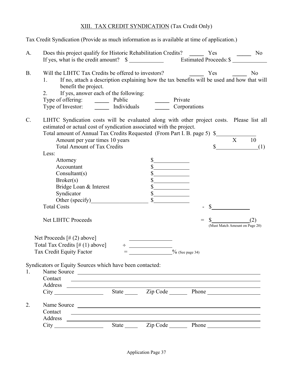# XIII. TAX CREDIT SYNDICATION (Tax Credit Only)

Tax Credit Syndication (Provide as much information as is available at time of application.)

| A.             | Does this project qualify for Historic Rehabilitation Credits?                                                                                                                                                                                                                                 |                                                       |          | Yes<br>If yes, what is the credit amount? $\quad \mathbb{S}$ Estimated Proceeds: $\mathbb{S}$                                        | N <sub>0</sub> |
|----------------|------------------------------------------------------------------------------------------------------------------------------------------------------------------------------------------------------------------------------------------------------------------------------------------------|-------------------------------------------------------|----------|--------------------------------------------------------------------------------------------------------------------------------------|----------------|
| <b>B.</b>      | Will the LIHTC Tax Credits be offered to investors?<br>1.<br>benefit the project.<br>2.<br>Type of Investor: 11 [10] Individuals                                                                                                                                                               | If yes, answer each of the following:                 |          | Yes<br>If no, attach a description explaining how the tax benefits will be used and how that will<br>Private<br>Corporations         | N <sub>o</sub> |
| $\mathbf{C}$ . | estimated or actual cost of syndication associated with the project.<br>Amount per year times 10 years<br><b>Total Amount of Tax Credits</b><br>Less:<br>Attorney<br>Accountant<br>Consultant(s)<br>Broker(s)<br>Bridge Loan & Interest<br>Syndicator<br>Other (specify)<br><b>Total Costs</b> |                                                       | \$<br>\$ | LIHTC Syndication costs will be evaluated along with other project costs. Please list all<br>$\mathbb{S}$                            | (1)            |
|                | <b>Net LIHTC Proceeds</b>                                                                                                                                                                                                                                                                      |                                                       |          | (Must Match Amount on Page 20)                                                                                                       |                |
|                | Net Proceeds $[\# (2)$ above]<br>Total Tax Credits $[\# (1)$ above]<br>Tax Credit Equity Factor                                                                                                                                                                                                | $\div$<br>$=$                                         |          | $\%$ (See page 34)                                                                                                                   |                |
| 1.             | Syndicators or Equity Sources which have been contacted:<br>Contact<br>Address                                                                                                                                                                                                                 |                                                       |          | Name Source<br><u> 1989 - Andrea State Barbara, amerikan bahasa di sebagai perangan perangan perangan perangan perangan perangan</u> |                |
| 2.             | Contact                                                                                                                                                                                                                                                                                        |                                                       |          | <u> 1989 - Johann Amerikaanse kommunister († 1958)</u>                                                                               |                |
|                | Address                                                                                                                                                                                                                                                                                        | <u> 1989 - Johann Stein, fransk politik (d. 1989)</u> |          |                                                                                                                                      |                |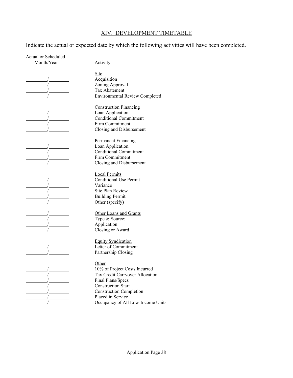# XIV. DEVELOPMENT TIMETABLE

Indicate the actual or expected date by which the following activities will have been completed.

| Actual or Scheduled<br>Month/Year | Activity                              |
|-----------------------------------|---------------------------------------|
|                                   | <b>Site</b>                           |
|                                   | Acquisition<br>Zoning Approval        |
|                                   | Tax Abatement                         |
|                                   | <b>Environmental Review Completed</b> |
|                                   |                                       |
|                                   | <b>Construction Financing</b>         |
|                                   | Loan Application                      |
|                                   | <b>Conditional Commitment</b>         |
|                                   | Firm Commitment                       |
|                                   | Closing and Disbursement              |
|                                   | <b>Permanent Financing</b>            |
|                                   | Loan Application                      |
|                                   | <b>Conditional Commitment</b>         |
|                                   | Firm Commitment                       |
|                                   | Closing and Disbursement              |
|                                   | <b>Local Permits</b>                  |
|                                   | <b>Conditional Use Permit</b>         |
|                                   | Variance                              |
|                                   | Site Plan Review                      |
|                                   | <b>Building Permit</b>                |
|                                   | Other (specify)                       |
|                                   | Other Loans and Grants                |
|                                   | Type & Source:                        |
|                                   | Application                           |
|                                   | Closing or Award                      |
|                                   | <b>Equity Syndication</b>             |
|                                   | Letter of Commitment                  |
|                                   | Partnership Closing                   |
|                                   | Other                                 |
|                                   | 10% of Project Costs Incurred         |
|                                   | Tax Credit Carryover Allocation       |
|                                   | Final Plans/Specs                     |
|                                   | <b>Construction Start</b>             |
|                                   | <b>Construction Completion</b>        |
|                                   | Placed in Service                     |
|                                   | Occupancy of All Low-Income Units     |
|                                   |                                       |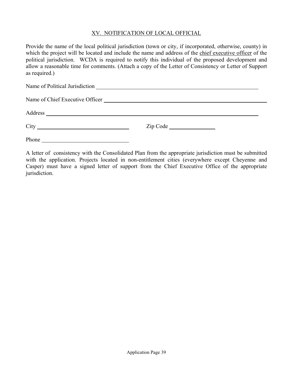## XV. NOTIFICATION OF LOCAL OFFICIAL

Provide the name of the local political jurisdiction (town or city, if incorporated, otherwise, county) in which the project will be located and include the name and address of the chief executive officer of the political jurisdiction. WCDA is required to notify this individual of the proposed development and allow a reasonable time for comments. (Attach a copy of the Letter of Consistency or Letter of Support as required.)

|       | Name of Chief Executive Officer |
|-------|---------------------------------|
|       |                                 |
| City  | Zip Code                        |
| Phone |                                 |

A letter of consistency with the Consolidated Plan from the appropriate jurisdiction must be submitted with the application. Projects located in non-entitlement cities (everywhere except Cheyenne and Casper) must have a signed letter of support from the Chief Executive Office of the appropriate jurisdiction.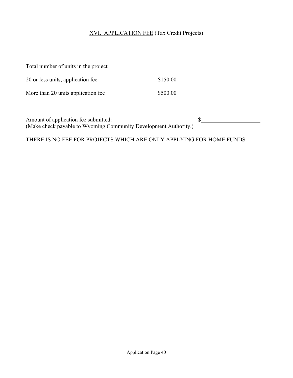# XVI. APPLICATION FEE (Tax Credit Projects)

| Total number of units in the project |          |
|--------------------------------------|----------|
| 20 or less units, application fee    | \$150.00 |
| More than 20 units application fee   | \$500.00 |

Amount of application fee submitted:  $\qquad \qquad$  \$ (Make check payable to Wyoming Community Development Authority.)

THERE IS NO FEE FOR PROJECTS WHICH ARE ONLY APPLYING FOR HOME FUNDS.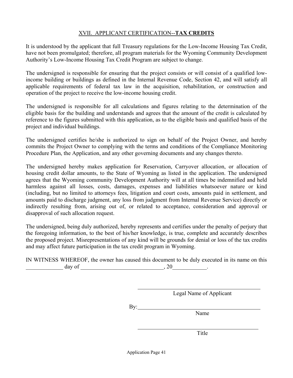## XVII. APPLICANT CERTIFICATION--**TAX CREDITS**

It is understood by the applicant that full Treasury regulations for the Low-Income Housing Tax Credit, have not been promulgated; therefore, all program materials for the Wyoming Community Development Authority's Low-Income Housing Tax Credit Program are subject to change.

The undersigned is responsible for ensuring that the project consists or will consist of a qualified lowincome building or buildings as defined in the Internal Revenue Code, Section 42, and will satisfy all applicable requirements of federal tax law in the acquisition, rehabilitation, or construction and operation of the project to receive the low-income housing credit.

The undersigned is responsible for all calculations and figures relating to the determination of the eligible basis for the building and understands and agrees that the amount of the credit is calculated by reference to the figures submitted with this application, as to the eligible basis and qualified basis of the project and individual buildings.

The undersigned certifies he/she is authorized to sign on behalf of the Project Owner, and hereby commits the Project Owner to complying with the terms and conditions of the Compliance Monitoring Procedure Plan, the Application, and any other governing documents and any changes thereto.

The undersigned hereby makes application for Reservation, Carryover allocation, or allocation of housing credit dollar amounts, to the State of Wyoming as listed in the application. The undersigned agrees that the Wyoming community Development Authority will at all times be indemnified and held harmless against all losses, costs, damages, expenses and liabilities whatsoever nature or kind (including, but no limited to attorneys fees, litigation and court costs, amounts paid in settlement, and amounts paid to discharge judgment, any loss from judgment from Internal Revenue Service) directly or indirectly resulting from, arising out of, or related to acceptance, consideration and approval or disapproval of such allocation request.

The undersigned, being duly authorized, hereby represents and certifies under the penalty of perjury that the foregoing information, to the best of his/her knowledge, is true, complete and accurately describes the proposed project. Misrepresentations of any kind will be grounds for denial or loss of the tax credits and may affect future participation in the tax credit program in Wyoming.

IN WITNESS WHEREOF, the owner has caused this document to be duly executed in its name on this  $\frac{day}{dx}$  of  $\frac{1}{20}$ 

Legal Name of Applicant

By:

Name Name

**Title** 

Application Page 41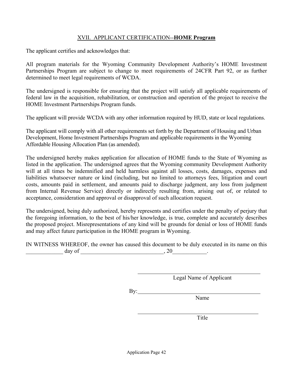#### XVII. APPLICANT CERTIFICATION--**HOME Program**

The applicant certifies and acknowledges that:

All program materials for the Wyoming Community Development Authority's HOME Investment Partnerships Program are subject to change to meet requirements of 24CFR Part 92, or as further determined to meet legal requirements of WCDA.

The undersigned is responsible for ensuring that the project will satisfy all applicable requirements of federal law in the acquisition, rehabilitation, or construction and operation of the project to receive the HOME Investment Partnerships Program funds.

The applicant will provide WCDA with any other information required by HUD, state or local regulations.

The applicant will comply with all other requirements set forth by the Department of Housing and Urban Development, Home Investment Partnerships Program and applicable requirements in the Wyoming Affordable Housing Allocation Plan (as amended).

The undersigned hereby makes application for allocation of HOME funds to the State of Wyoming as listed in the application. The undersigned agrees that the Wyoming community Development Authority will at all times be indemnified and held harmless against all losses, costs, damages, expenses and liabilities whatsoever nature or kind (including, but no limited to attorneys fees, litigation and court costs, amounts paid in settlement, and amounts paid to discharge judgment, any loss from judgment from Internal Revenue Service) directly or indirectly resulting from, arising out of, or related to acceptance, consideration and approval or disapproval of such allocation request.

The undersigned, being duly authorized, hereby represents and certifies under the penalty of perjury that the foregoing information, to the best of his/her knowledge, is true, complete and accurately describes the proposed project. Misrepresentations of any kind will be grounds for denial or loss of HOME funds and may affect future participation in the HOME program in Wyoming.

IN WITNESS WHEREOF, the owner has caused this document to be duly executed in its name on this  $\frac{day \text{ of } (x,y) \text{ of } (x,y) \text{ of } (x,y) \text{ of } (x,y) \text{ of } (x,y) \text{ of } (x,y) \text{ of } (x,y) \text{ of } (x,y) \text{ of } (x,y) \text{ of } (x,y) \text{ of } (x,y) \text{ of } (x,y) \text{ of } (x,y) \text{ of } (x,y) \text{ of } (x,y) \text{ of } (x,y) \text{ of } (x,y) \text{ of } (x,y) \text{ of } (x,y) \text{ of } (x,y) \text{ of } (x,y) \text{ of } (x,y) \text{ of } (x,y) \text{ of } (x,y)$ 

Legal Name of Applicant

By:

Name Name

**Title**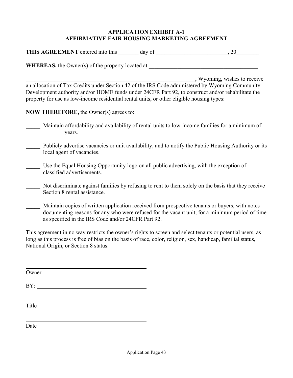#### **APPLICATION EXHIBIT A-1 AFFIRMATIVE FAIR HOUSING MARKETING AGREEMENT**

THIS AGREEMENT entered into this \_\_\_\_\_\_ day of \_\_\_\_\_\_\_\_\_\_\_\_\_\_\_\_\_\_\_\_, 20\_\_\_\_\_\_\_\_\_

**WHEREAS,** the Owner(s) of the property located at

\_\_\_\_\_\_\_\_\_\_\_\_\_\_\_\_\_\_\_\_\_\_\_\_\_\_\_\_\_\_\_\_\_\_\_\_\_\_\_\_\_\_\_\_\_\_\_\_\_\_\_\_\_\_\_\_\_\_\_, Wyoming, wishes to receive an allocation of Tax Credits under Section 42 of the IRS Code administered by Wyoming Community Development authority and/or HOME funds under 24CFR Part 92, to construct and/or rehabilitate the property for use as low-income residential rental units, or other eligible housing types:

**NOW THEREFORE,** the Owner(s) agrees to:

- Maintain affordability and availability of rental units to low-income families for a minimum of \_\_\_\_\_\_\_ years.
- Publicly advertise vacancies or unit availability, and to notify the Public Housing Authority or its local agent of vacancies.
- Use the Equal Housing Opportunity logo on all public advertising, with the exception of classified advertisements.
- \_\_\_\_\_ Not discriminate against families by refusing to rent to them solely on the basis that they receive Section 8 rental assistance.
- Maintain copies of written application received from prospective tenants or buyers, with notes documenting reasons for any who were refused for the vacant unit, for a minimum period of time as specified in the IRS Code and/or 24CFR Part 92.

This agreement in no way restricts the owner's rights to screen and select tenants or potential users, as long as this process is free of bias on the basis of race, color, religion, sex, handicap, familial status, National Origin, or Section 8 status.

Owner BY: Title

Date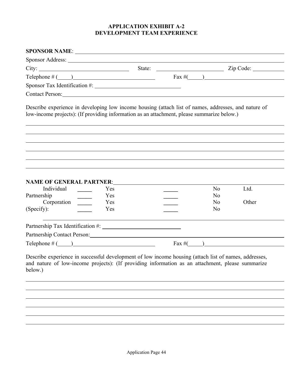| Telephone $\# (\_\_\_)$ Fax $\# (\_\_)$<br>Contact Person: 2008 and 2008 and 2008 and 2008 and 2008 and 2008 and 2008 and 2008 and 2008 and 2008 and 2008 and 2008 and 2008 and 2008 and 2008 and 2008 and 2008 and 2008 and 2008 and 2008 and 2008 and 2008 and 2008 and<br>Describe experience in developing low income housing (attach list of names, addresses, and nature of<br>low-income projects): (If providing information as an attachment, please summarize below.)<br><b>NAME OF GENERAL PARTNER:</b><br>N <sub>o</sub><br>Ltd.<br>Individual<br>Yes<br>Partnership<br>Yes<br>N <sub>0</sub><br>Corporation<br>Other<br>Yes<br>N <sub>0</sub><br>$\frac{1}{2}$<br>(Specify):<br>Yes<br>N <sub>0</sub><br>$\text{Telephone} \# (\_\_\_\_\_\_\_\_\_\_\_\$<br>$\text{Fax } \#(\underline{\hspace{1cm}})$<br>Describe experience in successful development of low income housing (attach list of names, addresses,<br>and nature of low-income projects): (If providing information as an attachment, please summarize<br>below.) |  |  |  |
|--------------------------------------------------------------------------------------------------------------------------------------------------------------------------------------------------------------------------------------------------------------------------------------------------------------------------------------------------------------------------------------------------------------------------------------------------------------------------------------------------------------------------------------------------------------------------------------------------------------------------------------------------------------------------------------------------------------------------------------------------------------------------------------------------------------------------------------------------------------------------------------------------------------------------------------------------------------------------------------------------------------------------------------------|--|--|--|
|                                                                                                                                                                                                                                                                                                                                                                                                                                                                                                                                                                                                                                                                                                                                                                                                                                                                                                                                                                                                                                            |  |  |  |
|                                                                                                                                                                                                                                                                                                                                                                                                                                                                                                                                                                                                                                                                                                                                                                                                                                                                                                                                                                                                                                            |  |  |  |
|                                                                                                                                                                                                                                                                                                                                                                                                                                                                                                                                                                                                                                                                                                                                                                                                                                                                                                                                                                                                                                            |  |  |  |
|                                                                                                                                                                                                                                                                                                                                                                                                                                                                                                                                                                                                                                                                                                                                                                                                                                                                                                                                                                                                                                            |  |  |  |
|                                                                                                                                                                                                                                                                                                                                                                                                                                                                                                                                                                                                                                                                                                                                                                                                                                                                                                                                                                                                                                            |  |  |  |
|                                                                                                                                                                                                                                                                                                                                                                                                                                                                                                                                                                                                                                                                                                                                                                                                                                                                                                                                                                                                                                            |  |  |  |
|                                                                                                                                                                                                                                                                                                                                                                                                                                                                                                                                                                                                                                                                                                                                                                                                                                                                                                                                                                                                                                            |  |  |  |
|                                                                                                                                                                                                                                                                                                                                                                                                                                                                                                                                                                                                                                                                                                                                                                                                                                                                                                                                                                                                                                            |  |  |  |
|                                                                                                                                                                                                                                                                                                                                                                                                                                                                                                                                                                                                                                                                                                                                                                                                                                                                                                                                                                                                                                            |  |  |  |
|                                                                                                                                                                                                                                                                                                                                                                                                                                                                                                                                                                                                                                                                                                                                                                                                                                                                                                                                                                                                                                            |  |  |  |
|                                                                                                                                                                                                                                                                                                                                                                                                                                                                                                                                                                                                                                                                                                                                                                                                                                                                                                                                                                                                                                            |  |  |  |
|                                                                                                                                                                                                                                                                                                                                                                                                                                                                                                                                                                                                                                                                                                                                                                                                                                                                                                                                                                                                                                            |  |  |  |
|                                                                                                                                                                                                                                                                                                                                                                                                                                                                                                                                                                                                                                                                                                                                                                                                                                                                                                                                                                                                                                            |  |  |  |
|                                                                                                                                                                                                                                                                                                                                                                                                                                                                                                                                                                                                                                                                                                                                                                                                                                                                                                                                                                                                                                            |  |  |  |
|                                                                                                                                                                                                                                                                                                                                                                                                                                                                                                                                                                                                                                                                                                                                                                                                                                                                                                                                                                                                                                            |  |  |  |
|                                                                                                                                                                                                                                                                                                                                                                                                                                                                                                                                                                                                                                                                                                                                                                                                                                                                                                                                                                                                                                            |  |  |  |
|                                                                                                                                                                                                                                                                                                                                                                                                                                                                                                                                                                                                                                                                                                                                                                                                                                                                                                                                                                                                                                            |  |  |  |
|                                                                                                                                                                                                                                                                                                                                                                                                                                                                                                                                                                                                                                                                                                                                                                                                                                                                                                                                                                                                                                            |  |  |  |
|                                                                                                                                                                                                                                                                                                                                                                                                                                                                                                                                                                                                                                                                                                                                                                                                                                                                                                                                                                                                                                            |  |  |  |
|                                                                                                                                                                                                                                                                                                                                                                                                                                                                                                                                                                                                                                                                                                                                                                                                                                                                                                                                                                                                                                            |  |  |  |
|                                                                                                                                                                                                                                                                                                                                                                                                                                                                                                                                                                                                                                                                                                                                                                                                                                                                                                                                                                                                                                            |  |  |  |
|                                                                                                                                                                                                                                                                                                                                                                                                                                                                                                                                                                                                                                                                                                                                                                                                                                                                                                                                                                                                                                            |  |  |  |
|                                                                                                                                                                                                                                                                                                                                                                                                                                                                                                                                                                                                                                                                                                                                                                                                                                                                                                                                                                                                                                            |  |  |  |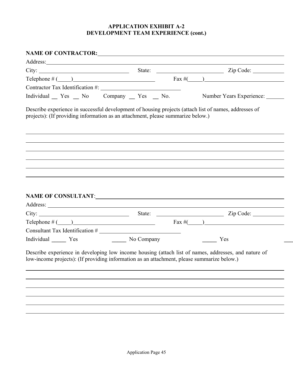|  | Address: <u>and the same of the same of the same of the same of the same of the same of the same of the same of the same of the same of the same of the same of the same of the same of the same of the same of the same of the </u> |                                                                                 |                                                                                                       |  |  |
|--|--------------------------------------------------------------------------------------------------------------------------------------------------------------------------------------------------------------------------------------|---------------------------------------------------------------------------------|-------------------------------------------------------------------------------------------------------|--|--|
|  |                                                                                                                                                                                                                                      |                                                                                 |                                                                                                       |  |  |
|  |                                                                                                                                                                                                                                      |                                                                                 |                                                                                                       |  |  |
|  |                                                                                                                                                                                                                                      |                                                                                 |                                                                                                       |  |  |
|  |                                                                                                                                                                                                                                      |                                                                                 | Individual Yes No Company Yes No. Number Years Experience:                                            |  |  |
|  |                                                                                                                                                                                                                                      | projects): (If providing information as an attachment, please summarize below.) | Describe experience in successful development of housing projects (attach list of names, addresses of |  |  |
|  |                                                                                                                                                                                                                                      |                                                                                 |                                                                                                       |  |  |
|  |                                                                                                                                                                                                                                      |                                                                                 |                                                                                                       |  |  |
|  |                                                                                                                                                                                                                                      |                                                                                 |                                                                                                       |  |  |
|  |                                                                                                                                                                                                                                      |                                                                                 |                                                                                                       |  |  |
|  | Individual Yes No Company                                                                                                                                                                                                            |                                                                                 | Yes                                                                                                   |  |  |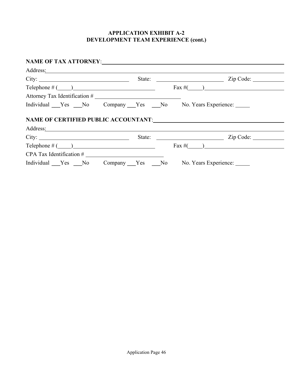| Address:                                                                                                                                                                                                                                |                                                      |
|-----------------------------------------------------------------------------------------------------------------------------------------------------------------------------------------------------------------------------------------|------------------------------------------------------|
| City:                                                                                                                                                                                                                                   | State: <u>Containing</u> Zip Code: <u>Containing</u> |
|                                                                                                                                                                                                                                         |                                                      |
| Attorney Tax Identification #                                                                                                                                                                                                           |                                                      |
| Individual Yes No Company Yes No No. Years Experience:                                                                                                                                                                                  |                                                      |
|                                                                                                                                                                                                                                         |                                                      |
|                                                                                                                                                                                                                                         |                                                      |
| Address: Andreas Address: Address: Address: Address: Address: Address: Address: Address: Address: Address: Address: Address: Address: Address: Address: Address: Address: Address: Address: Address: Address: Address: Address<br>City: |                                                      |
| Telephone $\#$ ( $\qquad$ )                                                                                                                                                                                                             |                                                      |
| CPA Tax Identification #                                                                                                                                                                                                                | $\text{Fax } \#($ $)$                                |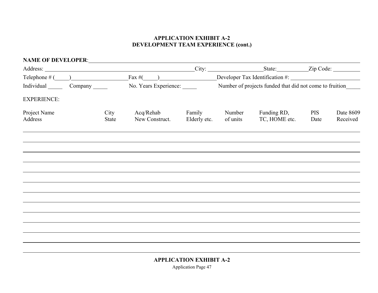#### **NAME OF DEVELOPER**:

| Individual Company ______ |                      | No. Years Experience:       |                                |                    | Number of projects funded that did not come to fruition |                    |                       |
|---------------------------|----------------------|-----------------------------|--------------------------------|--------------------|---------------------------------------------------------|--------------------|-----------------------|
| <b>EXPERIENCE:</b>        |                      |                             |                                |                    |                                                         |                    |                       |
| Project Name<br>Address   | City<br><b>State</b> | Acq/Rehab<br>New Construct. | Family<br>Elderly etc.         | Number<br>of units | Funding RD,<br>TC, HOME etc.                            | <b>PIS</b><br>Date | Date 8609<br>Received |
|                           |                      |                             |                                |                    |                                                         |                    |                       |
|                           |                      |                             |                                |                    |                                                         |                    |                       |
|                           |                      |                             |                                |                    |                                                         |                    |                       |
|                           |                      |                             |                                |                    |                                                         |                    |                       |
|                           |                      |                             |                                |                    |                                                         |                    |                       |
|                           |                      |                             |                                |                    |                                                         |                    |                       |
|                           |                      |                             |                                |                    |                                                         |                    |                       |
|                           |                      |                             |                                |                    |                                                         |                    |                       |
|                           |                      |                             |                                |                    |                                                         |                    |                       |
|                           |                      |                             | <b>APPLICATION EXHIBIT A-2</b> |                    |                                                         |                    |                       |

Application Page 47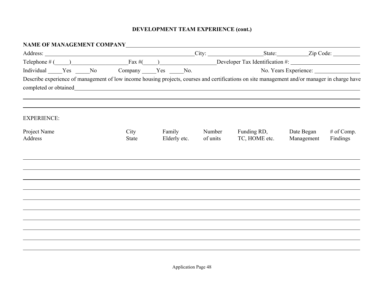# **DEVELOPMENT TEAM EXPERIENCE (cont.)**

| NAME OF MANAGEMENT COMPANY |  |                      |        |              |                    |                                                                                                                                               |                          |                          |
|----------------------------|--|----------------------|--------|--------------|--------------------|-----------------------------------------------------------------------------------------------------------------------------------------------|--------------------------|--------------------------|
|                            |  |                      |        |              |                    | Address: <u>City:</u> City: State: Zip Code: <u>City:</u> State: Zip Code:                                                                    |                          |                          |
|                            |  |                      |        |              |                    |                                                                                                                                               |                          |                          |
| Individual Yes No          |  | Company Yes No.      |        |              |                    |                                                                                                                                               |                          |                          |
|                            |  |                      |        |              |                    | Describe experience of management of low income housing projects, courses and certifications on site management and/or manager in charge have |                          |                          |
| <b>EXPERIENCE:</b>         |  |                      |        |              |                    |                                                                                                                                               |                          |                          |
| Project Name<br>Address    |  | City<br><b>State</b> | Family | Elderly etc. | Number<br>of units | Funding RD,<br>TC, HOME etc.                                                                                                                  | Date Began<br>Management | $#$ of Comp.<br>Findings |
|                            |  |                      |        |              |                    |                                                                                                                                               |                          |                          |
|                            |  |                      |        |              |                    |                                                                                                                                               |                          |                          |
|                            |  |                      |        |              |                    |                                                                                                                                               |                          |                          |
|                            |  |                      |        |              |                    |                                                                                                                                               |                          |                          |
|                            |  |                      |        |              |                    |                                                                                                                                               |                          |                          |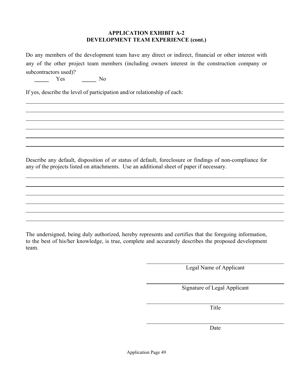Do any members of the development team have any direct or indirect, financial or other interest with any of the other project team members (including owners interest in the construction company or subcontractors used)?

**\_\_\_\_\_** Yes **\_\_\_\_\_** No

If yes, describe the level of participation and/or relationship of each:

Describe any default, disposition of or status of default, foreclosure or findings of non-compliance for any of the projects listed on attachments. Use an additional sheet of paper if necessary.

The undersigned, being duly authorized, hereby represents and certifies that the foregoing information, to the best of his/her knowledge, is true, complete and accurately describes the proposed development team.

 $\overline{a}$ 

 $\overline{a}$ 

 $\overline{a}$ 

 $\overline{a}$ 

Legal Name of Applicant

Signature of Legal Applicant

Title

Date

Application Page 49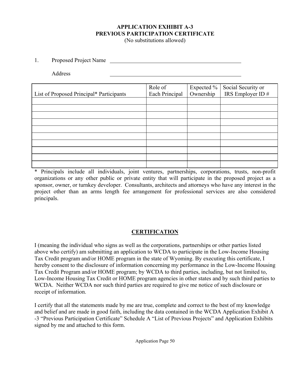# **APPLICATION EXHIBIT A-3 PREVIOUS PARTICIPATION CERTIFICATE**

(No substitutions allowed)

1. Proposed Project Name

Address

| List of Proposed Principal* Participants | Role of<br>Each Principal | Expected %<br>Ownership | Social Security or<br>IRS Employer ID# |
|------------------------------------------|---------------------------|-------------------------|----------------------------------------|
|                                          |                           |                         |                                        |
|                                          |                           |                         |                                        |
|                                          |                           |                         |                                        |
|                                          |                           |                         |                                        |
|                                          |                           |                         |                                        |
|                                          |                           |                         |                                        |
|                                          |                           |                         |                                        |
|                                          |                           |                         |                                        |
|                                          |                           |                         |                                        |
|                                          |                           |                         |                                        |

\* Principals include all individuals, joint ventures, partnerships, corporations, trusts, non-profit organizations or any other public or private entity that will participate in the proposed project as a sponsor, owner, or turnkey developer. Consultants, architects and attorneys who have any interest in the project other than an arms length fee arrangement for professional services are also considered principals.

## **CERTIFICATION**

I (meaning the individual who signs as well as the corporations, partnerships or other parties listed above who certify) am submitting an application to WCDA to participate in the Low-Income Housing Tax Credit program and/or HOME program in the state of Wyoming. By executing this certificate, I hereby consent to the disclosure of information concerning my performance in the Low-Income Housing Tax Credit Program and/or HOME program; by WCDA to third parties, including, but not limited to, Low-Income Housing Tax Credit or HOME program agencies in other states and by such third parties to WCDA. Neither WCDA nor such third parties are required to give me notice of such disclosure or receipt of information.

I certify that all the statements made by me are true, complete and correct to the best of my knowledge and belief and are made in good faith, including the data contained in the WCDA Application Exhibit A -3 "Previous Participation Certificate" Schedule A "List of Previous Projects" and Application Exhibits signed by me and attached to this form.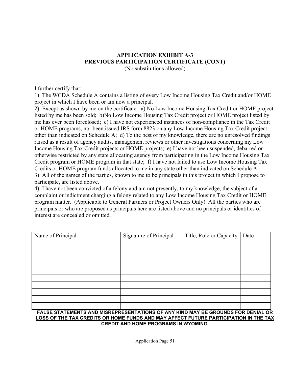# **APPLICATION EXHIBIT A-3 PREVIOUS PARTICIPATION CERTIFICATE (CONT)**

(No substitutions allowed)

I further certify that:

1) The WCDA Schedule A contains a listing of every Low Income Housing Tax Credit and/or HOME project in which I have been or am now a principal.

2) Except as shown by me on the certificate: a) No Low Income Housing Tax Credit or HOME project listed by me has been sold; b)No Low Income Housing Tax Credit project or HOME project listed by me has ever been foreclosed; c) I have not experienced instances of non-compliance in the Tax Credit or HOME programs, nor been issued IRS form 8823 on any Low Income Housing Tax Credit project other than indicated on Schedule A; d) To the best of my knowledge, there are no unresolved findings raised as a result of agency audits, management reviews or other investigations concerning my Low Income Housing Tax Credit projects or HOME projects; e) I have not been suspended, debarred or otherwise restricted by any state allocating agency from participating in the Low Income Housing Tax Credit program or HOME program in that state; f) I have not failed to use Low Income Housing Tax Credits or HOME program funds allocated to me in any state other than indicated on Schedule A. 3) All of the names of the parties, known to me to be principals in this project in which I propose to participate, are listed above.

4) I have not been convicted of a felony and am not presently, to my knowledge, the subject of a complaint or indictment charging a felony related to any Low Income Housing Tax Credit or HOME program matter. (Applicable to General Partners or Project Owners Only) All the parties who are principals or who are proposed as principals here are listed above and no principals or identities of interest are concealed or omitted.

| Name of Principal                                                                 | Signature of Principal | Title, Role or Capacity | Date |
|-----------------------------------------------------------------------------------|------------------------|-------------------------|------|
|                                                                                   |                        |                         |      |
|                                                                                   |                        |                         |      |
|                                                                                   |                        |                         |      |
|                                                                                   |                        |                         |      |
|                                                                                   |                        |                         |      |
|                                                                                   |                        |                         |      |
|                                                                                   |                        |                         |      |
|                                                                                   |                        |                         |      |
|                                                                                   |                        |                         |      |
|                                                                                   |                        |                         |      |
| EALOF OTATENENTO AND MIODEDDECENTATIONO OF ANY IZIND MAY BE ODOUNDO FOD BENIAL OD |                        |                         |      |

#### **FALSE STATEMENTS AND MISREPRESENTATIONS OF ANY KIND MAY BE GROUNDS FOR DENIAL OR LOSS OF THE TAX CREDITS OR HOME FUNDS AND MAY AFFECT FUTURE PARTICIPATION IN THE TAX CREDIT AND HOME PROGRAMS IN WYOMING.**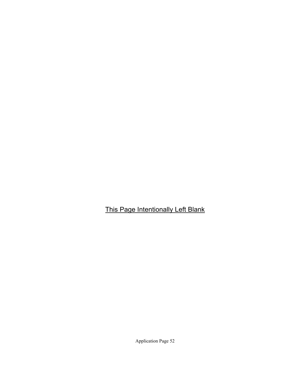This Page Intentionally Left Blank

Application Page 52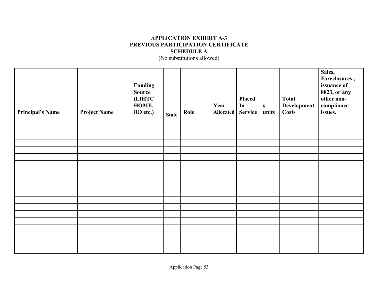#### **APPLICATION EXHIBIT A-3 PREVIOUS PARTICIPATION CERTIFICATE SCHEDULE A**

(No substitutions allowed)

| <b>Principal's Name</b> | <b>Project Name</b> | <b>Funding</b><br><b>Source</b><br>(LIHTC<br>HOME,<br>RD etc.) | <b>State</b> | Role | Year<br>Allocated | <b>Placed</b><br>In<br><b>Service</b> | #<br>units | <b>Total</b><br>Development<br><b>Costs</b> | Sales,<br>Foreclosures,<br>issuance of<br>8823, or any<br>other non-<br>compliance<br>issues. |
|-------------------------|---------------------|----------------------------------------------------------------|--------------|------|-------------------|---------------------------------------|------------|---------------------------------------------|-----------------------------------------------------------------------------------------------|
|                         |                     |                                                                |              |      |                   |                                       |            |                                             |                                                                                               |
|                         |                     |                                                                |              |      |                   |                                       |            |                                             |                                                                                               |
|                         |                     |                                                                |              |      |                   |                                       |            |                                             |                                                                                               |
|                         |                     |                                                                |              |      |                   |                                       |            |                                             |                                                                                               |
|                         |                     |                                                                |              |      |                   |                                       |            |                                             |                                                                                               |
|                         |                     |                                                                |              |      |                   |                                       |            |                                             |                                                                                               |
|                         |                     |                                                                |              |      |                   |                                       |            |                                             |                                                                                               |
|                         |                     |                                                                |              |      |                   |                                       |            |                                             |                                                                                               |
|                         |                     |                                                                |              |      |                   |                                       |            |                                             |                                                                                               |
|                         |                     |                                                                |              |      |                   |                                       |            |                                             |                                                                                               |
|                         |                     |                                                                |              |      |                   |                                       |            |                                             |                                                                                               |
|                         |                     |                                                                |              |      |                   |                                       |            |                                             |                                                                                               |
|                         |                     |                                                                |              |      |                   |                                       |            |                                             |                                                                                               |
|                         |                     |                                                                |              |      |                   |                                       |            |                                             |                                                                                               |
|                         |                     |                                                                |              |      |                   |                                       |            |                                             |                                                                                               |
|                         |                     |                                                                |              |      |                   |                                       |            |                                             |                                                                                               |
|                         |                     |                                                                |              |      |                   |                                       |            |                                             |                                                                                               |
|                         |                     |                                                                |              |      |                   |                                       |            |                                             |                                                                                               |
|                         |                     |                                                                |              |      |                   |                                       |            |                                             |                                                                                               |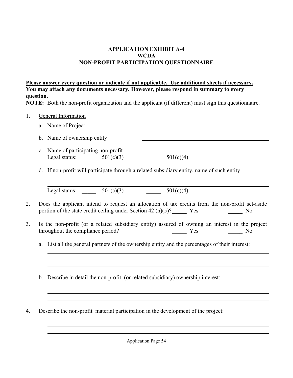#### **APPLICATION EXHIBIT A-4 WCDA NON-PROFIT PARTICIPATION QUESTIONNAIRE**

**Please answer every question or indicate if not applicable. Use additional sheets if necessary. You may attach any documents necessary. However, please respond in summary to every question.** 

**NOTE:** Both the non-profit organization and the applicant (if different) must sign this questionnaire.

- 1. General Information
- a. Name of Project b. Name of ownership entity c. Name of participating non-profit Legal status: **\_\_\_\_\_** 501(c)(3) **\_\_\_\_\_** 501(c)(4) d. If non-profit will participate through a related subsidiary entity, name of such entity Legal status:  $501(c)(3)$   $501(c)(4)$ 2. Does the applicant intend to request an allocation of tax credits from the non-profit set-aside portion of the state credit ceiling under Section 42 (h)(5)? \_\_\_\_\_ Yes No 3. Is the non-profit (or a related subsidiary entity) assured of owning an interest in the project throughout the compliance period? **\_\_\_\_\_** Yes **\_\_\_\_** No a. List all the general partners of the ownership entity and the percentages of their interest: b. Describe in detail the non-profit (or related subsidiary) ownership interest:
- 4. Describe the non-profit material participation in the development of the project: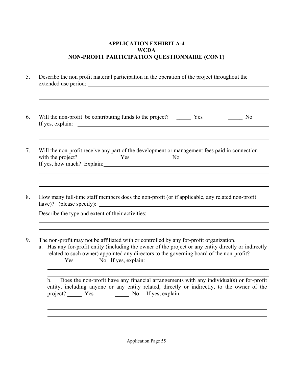## **APPLICATION EXHIBIT A-4 WCDA NON-PROFIT PARTICIPATION QUESTIONNAIRE (CONT)**

| $\frac{1}{\sqrt{1-\frac{1}{c^2}}}$ No                                                                                                                                                                                                                                                                                   |
|-------------------------------------------------------------------------------------------------------------------------------------------------------------------------------------------------------------------------------------------------------------------------------------------------------------------------|
| Will the non-profit receive any part of the development or management fees paid in connection<br>with the project?<br>If yes, how much? Explain: Yes No                                                                                                                                                                 |
|                                                                                                                                                                                                                                                                                                                         |
|                                                                                                                                                                                                                                                                                                                         |
| How many full-time staff members does the non-profit (or if applicable, any related non-profit                                                                                                                                                                                                                          |
| Describe the type and extent of their activities:                                                                                                                                                                                                                                                                       |
|                                                                                                                                                                                                                                                                                                                         |
| The non-profit may not be affiliated with or controlled by any for-profit organization.<br>a. Has any for-profit entity (including the owner of the project or any entity directly or indirectly<br>related to such owner) appointed any directors to the governing board of the non-profit?<br>Yes No If yes, explain: |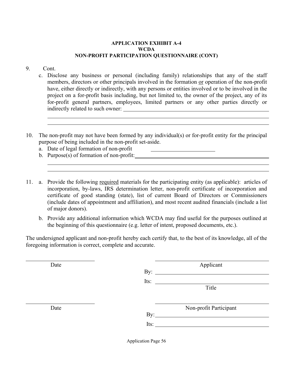#### **APPLICATION EXHIBIT A-4 WCDA NON-PROFIT PARTICIPATION QUESTIONNAIRE (CONT)**

#### 9. Cont.

- c. Disclose any business or personal (including family) relationships that any of the staff members, directors or other principals involved in the formation or operation of the non-profit have, either directly or indirectly, with any persons or entities involved or to be involved in the project on a for-profit basis including, but not limited to, the owner of the project, any of its for-profit general partners, employees, limited partners or any other parties directly or indirectly related to such owner:
- 10. The non-profit may not have been formed by any individual(s) or for-profit entity for the principal purpose of being included in the non-profit set-aside.
	- a. Date of legal formation of non-profit
	- b. Purpose(s) of formation of non-profit:
- 11. a. Provide the following required materials for the participating entity (as applicable): articles of incorporation, by-laws, IRS determination letter, non-profit certificate of incorporation and certificate of good standing (state), list of current Board of Directors or Commissioners (include dates of appointment and affiliation), and most recent audited financials (include a list of major donors).
	- b. Provide any additional information which WCDA may find useful for the purposes outlined at the beginning of this questionnaire (e.g. letter of intent, proposed documents, etc.).

The undersigned applicant and non-profit hereby each certify that, to the best of its knowledge, all of the foregoing information is correct, complete and accurate.

| Date |                           | Applicant              |
|------|---------------------------|------------------------|
|      | By:                       |                        |
|      | Its: $\frac{1}{\sqrt{2}}$ |                        |
|      |                           | Title                  |
|      |                           |                        |
| Date |                           | Non-profit Participant |
|      | By:                       |                        |
|      | Its:                      |                        |
|      |                           |                        |

Application Page 56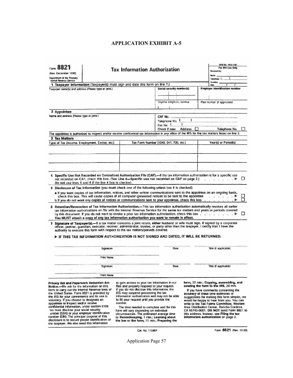#### **APPLICATION EXHIBIT A-5**

| Form 8821<br>(Rev. December 1995)                                                                                                                                                                                                                                                                                                                                                                                                                                                                                                                                                                                  |                                                        | <b>Tax Information Authorization</b>                                                                                                                                                                                                                                                                                                                                                                                                                                                                                         |                                                             |         | OMB No. 1545-1185<br>For IRS Use Only<br>Received by:<br>Name                                                                                                                                                                                                                                                                                                                                                                                                                       |
|--------------------------------------------------------------------------------------------------------------------------------------------------------------------------------------------------------------------------------------------------------------------------------------------------------------------------------------------------------------------------------------------------------------------------------------------------------------------------------------------------------------------------------------------------------------------------------------------------------------------|--------------------------------------------------------|------------------------------------------------------------------------------------------------------------------------------------------------------------------------------------------------------------------------------------------------------------------------------------------------------------------------------------------------------------------------------------------------------------------------------------------------------------------------------------------------------------------------------|-------------------------------------------------------------|---------|-------------------------------------------------------------------------------------------------------------------------------------------------------------------------------------------------------------------------------------------------------------------------------------------------------------------------------------------------------------------------------------------------------------------------------------------------------------------------------------|
| Department of the Treasury<br><b>itemal Revenue Service</b>                                                                                                                                                                                                                                                                                                                                                                                                                                                                                                                                                        |                                                        |                                                                                                                                                                                                                                                                                                                                                                                                                                                                                                                              |                                                             |         | Telephone<br>Function                                                                                                                                                                                                                                                                                                                                                                                                                                                               |
|                                                                                                                                                                                                                                                                                                                                                                                                                                                                                                                                                                                                                    |                                                        | 1 Taxpayer Information (Taxpayer(s) must sign and date this form on line 7.)                                                                                                                                                                                                                                                                                                                                                                                                                                                 |                                                             |         | Date                                                                                                                                                                                                                                                                                                                                                                                                                                                                                |
| Taxpayer name(s) and address (Please type or print.)                                                                                                                                                                                                                                                                                                                                                                                                                                                                                                                                                               |                                                        |                                                                                                                                                                                                                                                                                                                                                                                                                                                                                                                              | Social security number(s)<br>Daydme telephone number        |         | Employer identification number<br>Plan number (if applicable)                                                                                                                                                                                                                                                                                                                                                                                                                       |
| 2 Appointee                                                                                                                                                                                                                                                                                                                                                                                                                                                                                                                                                                                                        |                                                        |                                                                                                                                                                                                                                                                                                                                                                                                                                                                                                                              |                                                             |         |                                                                                                                                                                                                                                                                                                                                                                                                                                                                                     |
| Name and address (Please type or print.)                                                                                                                                                                                                                                                                                                                                                                                                                                                                                                                                                                           |                                                        |                                                                                                                                                                                                                                                                                                                                                                                                                                                                                                                              | <b>CAF No.</b><br>Telephone No.<br>Fax No.<br>Check If new: | Address | Telephone No.                                                                                                                                                                                                                                                                                                                                                                                                                                                                       |
|                                                                                                                                                                                                                                                                                                                                                                                                                                                                                                                                                                                                                    |                                                        | The appointee is authorized to inspect and/or receive confidential tax information in any office of the IRS for the tax matters listed on line 3.                                                                                                                                                                                                                                                                                                                                                                            |                                                             |         |                                                                                                                                                                                                                                                                                                                                                                                                                                                                                     |
| 3 Tax Matters                                                                                                                                                                                                                                                                                                                                                                                                                                                                                                                                                                                                      |                                                        |                                                                                                                                                                                                                                                                                                                                                                                                                                                                                                                              | Tax Form Number (1040, 941, 720, etc.)                      |         | Year(s) or Period(s)                                                                                                                                                                                                                                                                                                                                                                                                                                                                |
| Type of Tax (income, Employment, Excise, etc.)                                                                                                                                                                                                                                                                                                                                                                                                                                                                                                                                                                     |                                                        |                                                                                                                                                                                                                                                                                                                                                                                                                                                                                                                              |                                                             |         |                                                                                                                                                                                                                                                                                                                                                                                                                                                                                     |
|                                                                                                                                                                                                                                                                                                                                                                                                                                                                                                                                                                                                                    |                                                        |                                                                                                                                                                                                                                                                                                                                                                                                                                                                                                                              |                                                             |         |                                                                                                                                                                                                                                                                                                                                                                                                                                                                                     |
|                                                                                                                                                                                                                                                                                                                                                                                                                                                                                                                                                                                                                    |                                                        |                                                                                                                                                                                                                                                                                                                                                                                                                                                                                                                              |                                                             |         |                                                                                                                                                                                                                                                                                                                                                                                                                                                                                     |
|                                                                                                                                                                                                                                                                                                                                                                                                                                                                                                                                                                                                                    | Do not use lines 5 and 6 if the line 4 box is checked. | 4 Specific Use Not Recorded on Centralized Authorization File (CAF).—If the tax information authorization is for a specific use<br>not recorded on CAF, check this box. (See Line 4-Specific use not recorded on CAF on page 2.)                                                                                                                                                                                                                                                                                             |                                                             |         |                                                                                                                                                                                                                                                                                                                                                                                                                                                                                     |
|                                                                                                                                                                                                                                                                                                                                                                                                                                                                                                                                                                                                                    |                                                        | 5 Disclosure of Tax Information (you must check one of the following unless box 4 is checked):                                                                                                                                                                                                                                                                                                                                                                                                                               |                                                             |         |                                                                                                                                                                                                                                                                                                                                                                                                                                                                                     |
|                                                                                                                                                                                                                                                                                                                                                                                                                                                                                                                                                                                                                    |                                                        | a If you want copies of tax information, notices, and other written communications sent to the appointee on an ongoing basis,<br>check this box. This will cause copies of all computer-generated notices to be sent to the appointee<br>b If you do not want any copies of notices or communications sent to your appointee, check this box                                                                                                                                                                                 |                                                             |         |                                                                                                                                                                                                                                                                                                                                                                                                                                                                                     |
|                                                                                                                                                                                                                                                                                                                                                                                                                                                                                                                                                                                                                    |                                                        | 6 Retention/Revocation of Tax Information Authorization.-This tax information authorization automatically revokes all earlier<br>tax information authorizations on file with the Internal Revenue Service for the same tax matters and years or periods covered<br>by this document. If you do not want to revoke a prior tax information authorization, check this box<br>You MUST attach a copy of any tax information authorization you want to remain in effect.                                                         |                                                             |         |                                                                                                                                                                                                                                                                                                                                                                                                                                                                                     |
|                                                                                                                                                                                                                                                                                                                                                                                                                                                                                                                                                                                                                    |                                                        | 7 Signature of Taxpayer(s).-If a tax matter concerns a joint return, either husband or wife must sign. If signed by a corporate<br>officer, partner, quardian, executor, receiver, administrator, trustee, or party other than the taxpayer, I certify that I have the<br>authority to execute this form with respect to the tax matters/periods covered.                                                                                                                                                                    |                                                             |         |                                                                                                                                                                                                                                                                                                                                                                                                                                                                                     |
|                                                                                                                                                                                                                                                                                                                                                                                                                                                                                                                                                                                                                    |                                                        | IF THIS TAX INFORMATION AUTHORIZATION IS NOT SIGNED AND DATED, IT WILL BE RETURNED.                                                                                                                                                                                                                                                                                                                                                                                                                                          |                                                             |         |                                                                                                                                                                                                                                                                                                                                                                                                                                                                                     |
|                                                                                                                                                                                                                                                                                                                                                                                                                                                                                                                                                                                                                    | Signature                                              |                                                                                                                                                                                                                                                                                                                                                                                                                                                                                                                              | Date                                                        |         | Title (if applicable)                                                                                                                                                                                                                                                                                                                                                                                                                                                               |
|                                                                                                                                                                                                                                                                                                                                                                                                                                                                                                                                                                                                                    | <b>Print Name</b>                                      |                                                                                                                                                                                                                                                                                                                                                                                                                                                                                                                              |                                                             |         |                                                                                                                                                                                                                                                                                                                                                                                                                                                                                     |
|                                                                                                                                                                                                                                                                                                                                                                                                                                                                                                                                                                                                                    | Signature                                              |                                                                                                                                                                                                                                                                                                                                                                                                                                                                                                                              | Date                                                        |         | Title (il applicable)                                                                                                                                                                                                                                                                                                                                                                                                                                                               |
|                                                                                                                                                                                                                                                                                                                                                                                                                                                                                                                                                                                                                    | Print Name                                             |                                                                                                                                                                                                                                                                                                                                                                                                                                                                                                                              |                                                             |         |                                                                                                                                                                                                                                                                                                                                                                                                                                                                                     |
| Privacy Act and Paperwork Reduction Act<br>Notice.-We ask for the information on this<br>form to carry out the Internal Revenue laws of<br>the United States. Form 8821 is provided by<br>the IRS for your convenience and its use is<br>voluntary. If you choose to designate an<br>appointee to inspect and/or receive<br>confidential information, under section 6109<br>ou must disclose your social security<br>umber (SSN) or your employer identification<br>number (EIN). The principal purpose of this<br>disciosure is to secure proper identification of<br>the taxpayer. We also need this information |                                                        | to gain access to your tax information in our<br>files and properly respond to your request.<br>If you do not disclose this information, the<br>IRS may suspend processing the tax<br>information authorization and may not be able<br>to fill your request until you provide the<br>number.<br>The time needed to complete and file this<br>form will vary depending on individual<br>circumstances. The estimated average time<br>is: Recordkeeping, 7 min.; Learning about<br>the law or the form, 11 min.; Preparing the |                                                             |         | form, 22 min., Copying, assembling, and<br>sending the form to the IRS, 20 min.<br>If you have comments concerning the<br>accuracy of these time estimates or<br>suggestions for making this form simpler, we<br>would be happy to hear from you. You can<br>write to the Tax Forms Committee, Western<br>Area Distribution Center, Rancho Cordova,<br>CA 95743-0001. DO NOT send Form 8821 to<br>this address. Instead, see Filing the tax<br>information authorization on page 2. |

Cat. No. 11596P

Application Page 57